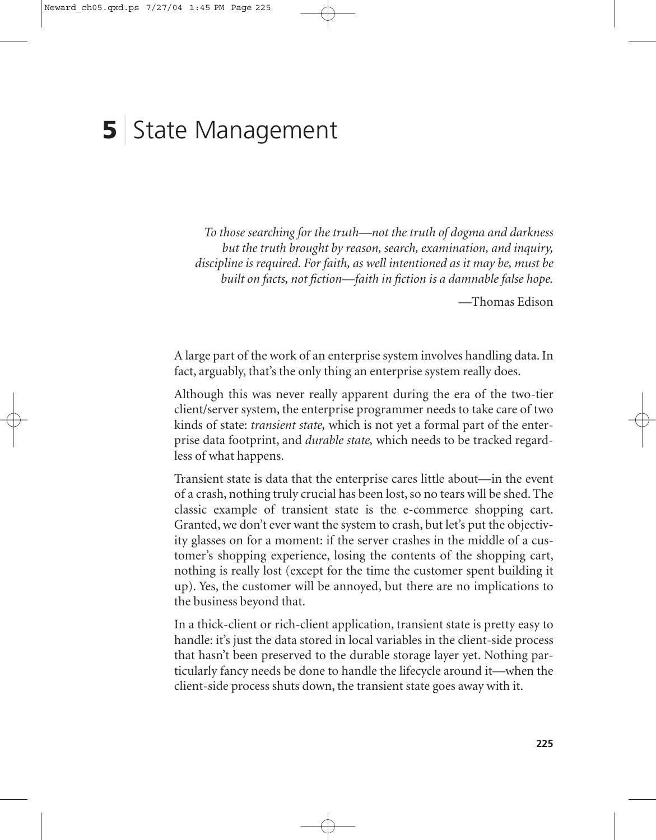# **5** State Management

*To those searching for the truth—not the truth of dogma and darkness but the truth brought by reason, search, examination, and inquiry, discipline is required. For faith, as well intentioned as it may be, must be built on facts, not fiction—faith in fiction is a damnable false hope.*

—Thomas Edison

A large part of the work of an enterprise system involves handling data. In fact, arguably, that's the only thing an enterprise system really does.

Although this was never really apparent during the era of the two-tier client/server system, the enterprise programmer needs to take care of two kinds of state: *transient state,* which is not yet a formal part of the enterprise data footprint, and *durable state,* which needs to be tracked regardless of what happens.

Transient state is data that the enterprise cares little about—in the event of a crash, nothing truly crucial has been lost, so no tears will be shed. The classic example of transient state is the e-commerce shopping cart. Granted, we don't ever want the system to crash, but let's put the objectivity glasses on for a moment: if the server crashes in the middle of a customer's shopping experience, losing the contents of the shopping cart, nothing is really lost (except for the time the customer spent building it up). Yes, the customer will be annoyed, but there are no implications to the business beyond that.

In a thick-client or rich-client application, transient state is pretty easy to handle: it's just the data stored in local variables in the client-side process that hasn't been preserved to the durable storage layer yet. Nothing particularly fancy needs be done to handle the lifecycle around it—when the client-side process shuts down, the transient state goes away with it.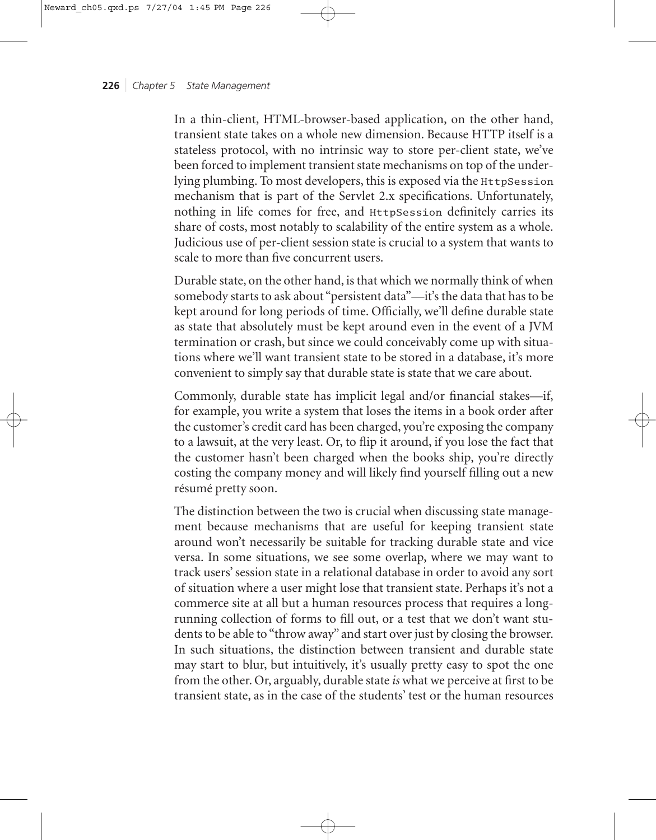In a thin-client, HTML-browser-based application, on the other hand, transient state takes on a whole new dimension. Because HTTP itself is a stateless protocol, with no intrinsic way to store per-client state, we've been forced to implement transient state mechanisms on top of the underlying plumbing. To most developers, this is exposed via the HttpSession mechanism that is part of the Servlet 2.x specifications. Unfortunately, nothing in life comes for free, and HttpSession definitely carries its share of costs, most notably to scalability of the entire system as a whole. Judicious use of per-client session state is crucial to a system that wants to scale to more than five concurrent users.

Durable state, on the other hand, is that which we normally think of when somebody starts to ask about "persistent data"—it's the data that has to be kept around for long periods of time. Officially, we'll define durable state as state that absolutely must be kept around even in the event of a JVM termination or crash, but since we could conceivably come up with situations where we'll want transient state to be stored in a database, it's more convenient to simply say that durable state is state that we care about.

Commonly, durable state has implicit legal and/or financial stakes—if, for example, you write a system that loses the items in a book order after the customer's credit card has been charged, you're exposing the company to a lawsuit, at the very least. Or, to flip it around, if you lose the fact that the customer hasn't been charged when the books ship, you're directly costing the company money and will likely find yourself filling out a new résumé pretty soon.

The distinction between the two is crucial when discussing state management because mechanisms that are useful for keeping transient state around won't necessarily be suitable for tracking durable state and vice versa. In some situations, we see some overlap, where we may want to track users' session state in a relational database in order to avoid any sort of situation where a user might lose that transient state. Perhaps it's not a commerce site at all but a human resources process that requires a longrunning collection of forms to fill out, or a test that we don't want students to be able to "throw away" and start over just by closing the browser. In such situations, the distinction between transient and durable state may start to blur, but intuitively, it's usually pretty easy to spot the one from the other. Or, arguably, durable state *is* what we perceive at first to be transient state, as in the case of the students' test or the human resources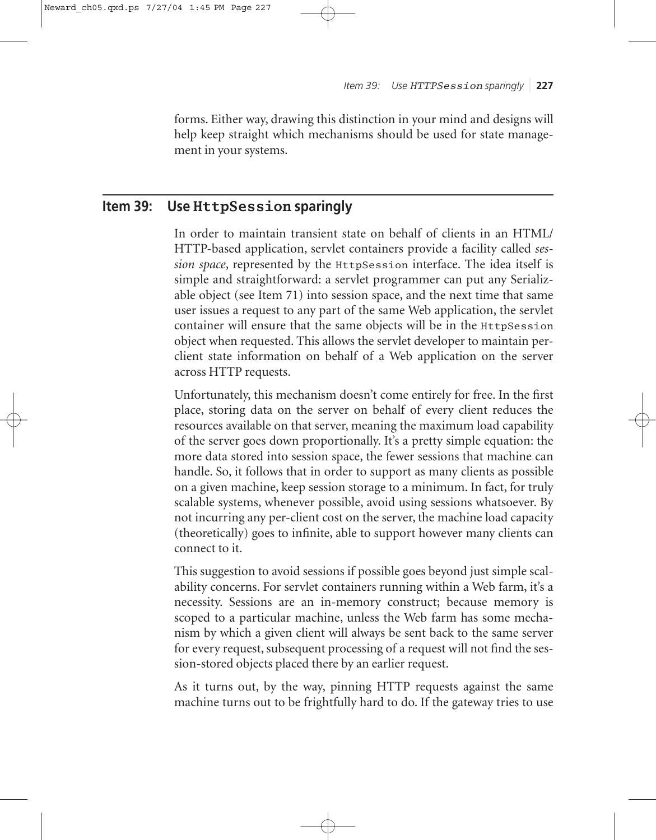forms. Either way, drawing this distinction in your mind and designs will help keep straight which mechanisms should be used for state management in your systems.

# **Item 39: Use HttpSession sparingly**

In order to maintain transient state on behalf of clients in an HTML/ HTTP-based application, servlet containers provide a facility called *session space*, represented by the HttpSession interface. The idea itself is simple and straightforward: a servlet programmer can put any Serializable object (see Item 71) into session space, and the next time that same user issues a request to any part of the same Web application, the servlet container will ensure that the same objects will be in the HttpSession object when requested. This allows the servlet developer to maintain perclient state information on behalf of a Web application on the server across HTTP requests.

Unfortunately, this mechanism doesn't come entirely for free. In the first place, storing data on the server on behalf of every client reduces the resources available on that server, meaning the maximum load capability of the server goes down proportionally. It's a pretty simple equation: the more data stored into session space, the fewer sessions that machine can handle. So, it follows that in order to support as many clients as possible on a given machine, keep session storage to a minimum. In fact, for truly scalable systems, whenever possible, avoid using sessions whatsoever. By not incurring any per-client cost on the server, the machine load capacity (theoretically) goes to infinite, able to support however many clients can connect to it.

This suggestion to avoid sessions if possible goes beyond just simple scalability concerns. For servlet containers running within a Web farm, it's a necessity. Sessions are an in-memory construct; because memory is scoped to a particular machine, unless the Web farm has some mechanism by which a given client will always be sent back to the same server for every request, subsequent processing of a request will not find the session-stored objects placed there by an earlier request.

As it turns out, by the way, pinning HTTP requests against the same machine turns out to be frightfully hard to do. If the gateway tries to use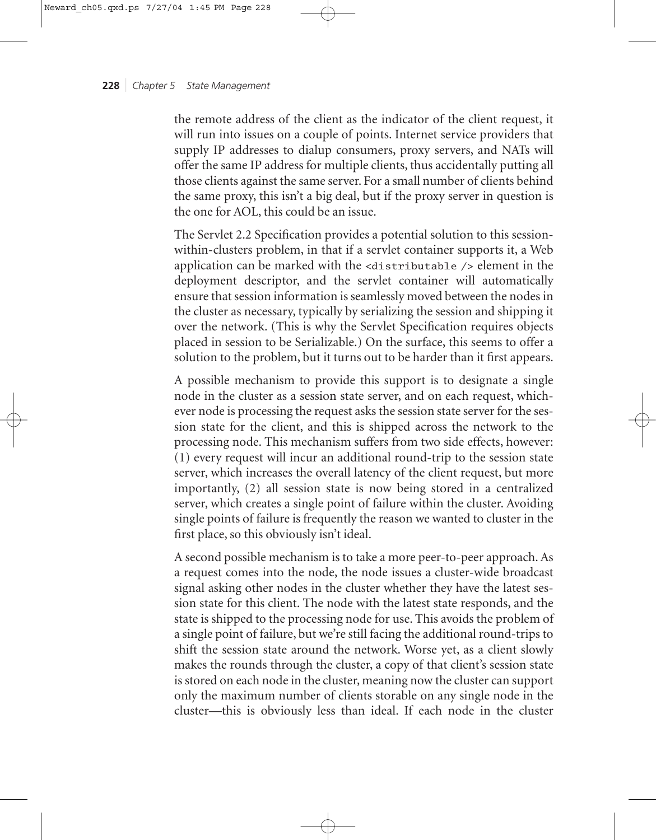the remote address of the client as the indicator of the client request, it will run into issues on a couple of points. Internet service providers that supply IP addresses to dialup consumers, proxy servers, and NATs will offer the same IP address for multiple clients, thus accidentally putting all those clients against the same server. For a small number of clients behind the same proxy, this isn't a big deal, but if the proxy server in question is the one for AOL, this could be an issue.

The Servlet 2.2 Specification provides a potential solution to this sessionwithin-clusters problem, in that if a servlet container supports it, a Web application can be marked with the <distributable /> element in the deployment descriptor, and the servlet container will automatically ensure that session information is seamlessly moved between the nodes in the cluster as necessary, typically by serializing the session and shipping it over the network. (This is why the Servlet Specification requires objects placed in session to be Serializable.) On the surface, this seems to offer a solution to the problem, but it turns out to be harder than it first appears.

A possible mechanism to provide this support is to designate a single node in the cluster as a session state server, and on each request, whichever node is processing the request asks the session state server for the session state for the client, and this is shipped across the network to the processing node. This mechanism suffers from two side effects, however: (1) every request will incur an additional round-trip to the session state server, which increases the overall latency of the client request, but more importantly, (2) all session state is now being stored in a centralized server, which creates a single point of failure within the cluster. Avoiding single points of failure is frequently the reason we wanted to cluster in the first place, so this obviously isn't ideal.

A second possible mechanism is to take a more peer-to-peer approach. As a request comes into the node, the node issues a cluster-wide broadcast signal asking other nodes in the cluster whether they have the latest session state for this client. The node with the latest state responds, and the state is shipped to the processing node for use. This avoids the problem of a single point of failure, but we're still facing the additional round-trips to shift the session state around the network. Worse yet, as a client slowly makes the rounds through the cluster, a copy of that client's session state is stored on each node in the cluster, meaning now the cluster can support only the maximum number of clients storable on any single node in the cluster—this is obviously less than ideal. If each node in the cluster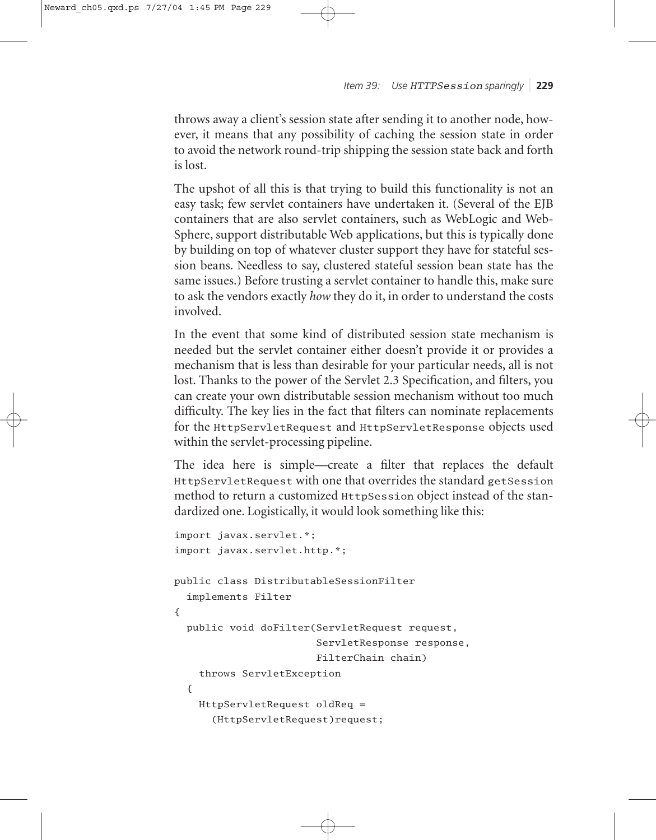*Item 39: Use HTTPSession sparingly* ❘ **229**

throws away a client's session state after sending it to another node, however, it means that any possibility of caching the session state in order to avoid the network round-trip shipping the session state back and forth is lost.

The upshot of all this is that trying to build this functionality is not an easy task; few servlet containers have undertaken it. (Several of the EJB containers that are also servlet containers, such as WebLogic and Web-Sphere, support distributable Web applications, but this is typically done by building on top of whatever cluster support they have for stateful session beans. Needless to say, clustered stateful session bean state has the same issues.) Before trusting a servlet container to handle this, make sure to ask the vendors exactly *how* they do it, in order to understand the costs involved.

In the event that some kind of distributed session state mechanism is needed but the servlet container either doesn't provide it or provides a mechanism that is less than desirable for your particular needs, all is not lost. Thanks to the power of the Servlet 2.3 Specification, and filters, you can create your own distributable session mechanism without too much difficulty. The key lies in the fact that filters can nominate replacements for the HttpServletRequest and HttpServletResponse objects used within the servlet-processing pipeline.

The idea here is simple—create a filter that replaces the default HttpServletRequest with one that overrides the standard getSession method to return a customized HttpSession object instead of the standardized one. Logistically, it would look something like this:

```
import javax.servlet.*;
import javax.servlet.http.*;
public class DistributableSessionFilter
  implements Filter
{
  public void doFilter(ServletRequest request,
                       ServletResponse response,
                       FilterChain chain)
    throws ServletException
  {
    HttpServletRequest oldReq =
      (HttpServletRequest)request;
```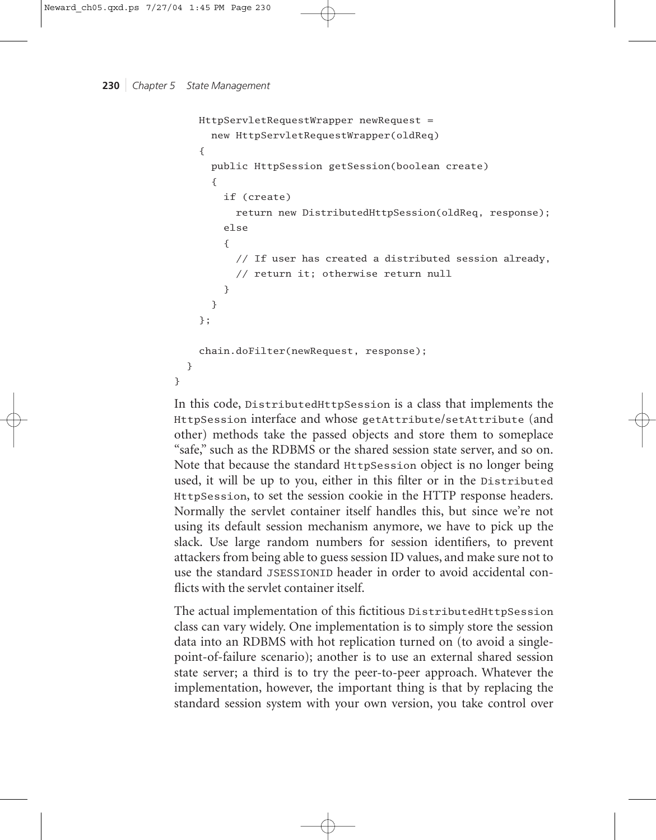}

```
HttpServletRequestWrapper newRequest =
    new HttpServletRequestWrapper(oldReq)
  {
    public HttpSession getSession(boolean create)
    {
      if (create)
        return new DistributedHttpSession(oldReq, response);
      else
      {
        // If user has created a distributed session already,
        // return it; otherwise return null
      }
    }
  };
  chain.doFilter(newRequest, response);
}
```
In this code, DistributedHttpSession is a class that implements the HttpSession interface and whose getAttribute/setAttribute (and other) methods take the passed objects and store them to someplace "safe," such as the RDBMS or the shared session state server, and so on. Note that because the standard HttpSession object is no longer being used, it will be up to you, either in this filter or in the Distributed HttpSession, to set the session cookie in the HTTP response headers. Normally the servlet container itself handles this, but since we're not using its default session mechanism anymore, we have to pick up the slack. Use large random numbers for session identifiers, to prevent attackers from being able to guess session ID values, and make sure not to use the standard JSESSIONID header in order to avoid accidental conflicts with the servlet container itself.

The actual implementation of this fictitious DistributedHttpSession class can vary widely. One implementation is to simply store the session data into an RDBMS with hot replication turned on (to avoid a singlepoint-of-failure scenario); another is to use an external shared session state server; a third is to try the peer-to-peer approach. Whatever the implementation, however, the important thing is that by replacing the standard session system with your own version, you take control over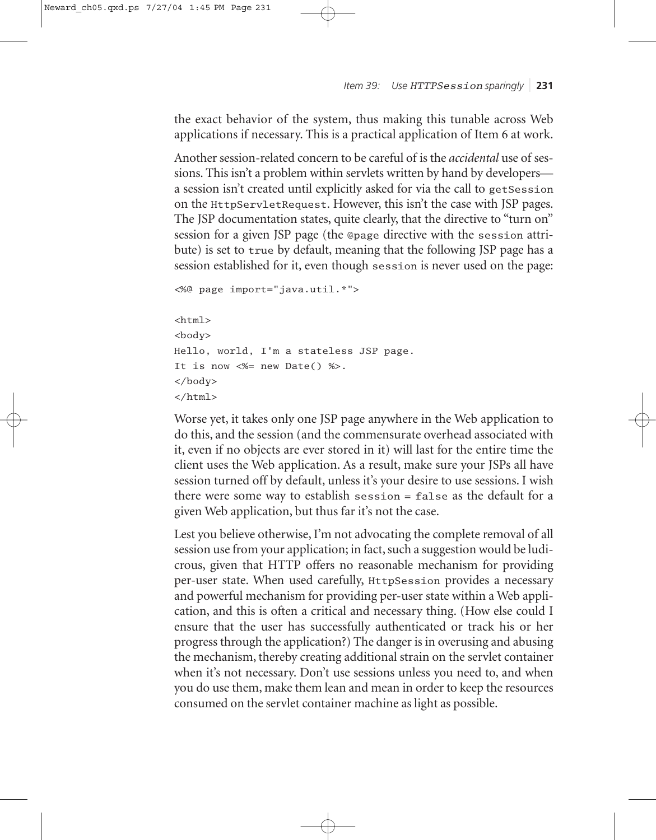the exact behavior of the system, thus making this tunable across Web applications if necessary. This is a practical application of Item 6 at work.

Another session-related concern to be careful of is the *accidental* use of sessions. This isn't a problem within servlets written by hand by developers a session isn't created until explicitly asked for via the call to getSession on the HttpServletRequest. However, this isn't the case with JSP pages. The JSP documentation states, quite clearly, that the directive to "turn on" session for a given JSP page (the @page directive with the session attribute) is set to true by default, meaning that the following JSP page has a session established for it, even though session is never used on the page:

```
<%@ page import="java.util.*">
```

```
<html>
<body>
Hello, world, I'm a stateless JSP page.
It is now \ll 2 new Date() %>.
</body>
</html>
```
Worse yet, it takes only one JSP page anywhere in the Web application to do this, and the session (and the commensurate overhead associated with it, even if no objects are ever stored in it) will last for the entire time the client uses the Web application. As a result, make sure your JSPs all have session turned off by default, unless it's your desire to use sessions. I wish there were some way to establish session = false as the default for a given Web application, but thus far it's not the case.

Lest you believe otherwise, I'm not advocating the complete removal of all session use from your application; in fact, such a suggestion would be ludicrous, given that HTTP offers no reasonable mechanism for providing per-user state. When used carefully, HttpSession provides a necessary and powerful mechanism for providing per-user state within a Web application, and this is often a critical and necessary thing. (How else could I ensure that the user has successfully authenticated or track his or her progress through the application?) The danger is in overusing and abusing the mechanism, thereby creating additional strain on the servlet container when it's not necessary. Don't use sessions unless you need to, and when you do use them, make them lean and mean in order to keep the resources consumed on the servlet container machine as light as possible.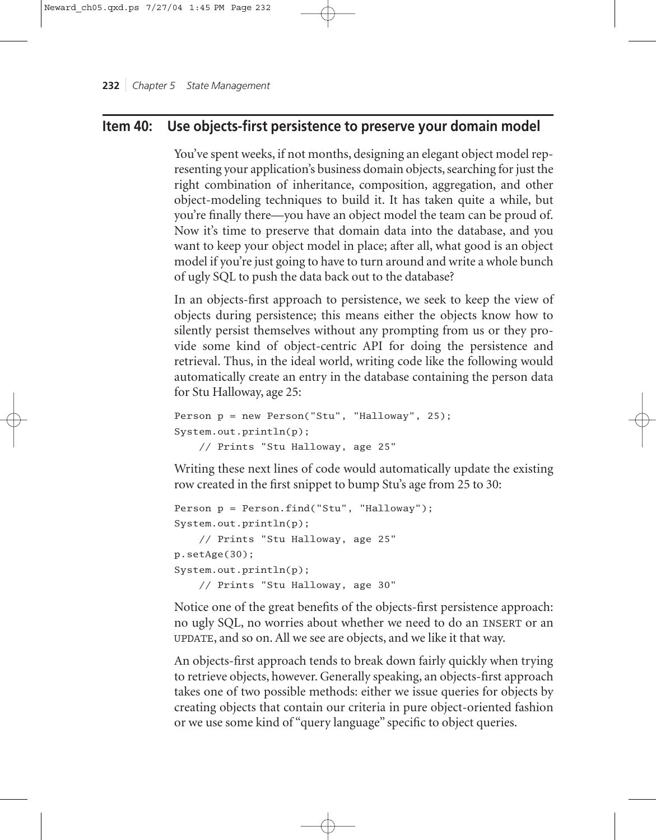# **Item 40: Use objects-first persistence to preserve your domain model**

You've spent weeks, if not months, designing an elegant object model representing your application's business domain objects, searching for just the right combination of inheritance, composition, aggregation, and other object-modeling techniques to build it. It has taken quite a while, but you're finally there—you have an object model the team can be proud of. Now it's time to preserve that domain data into the database, and you want to keep your object model in place; after all, what good is an object model if you're just going to have to turn around and write a whole bunch of ugly SQL to push the data back out to the database?

In an objects-first approach to persistence, we seek to keep the view of objects during persistence; this means either the objects know how to silently persist themselves without any prompting from us or they provide some kind of object-centric API for doing the persistence and retrieval. Thus, in the ideal world, writing code like the following would automatically create an entry in the database containing the person data for Stu Halloway, age 25:

```
Person p = new Person("Stu", "Halloway", 25);
System.out.println(p); 
    // Prints "Stu Halloway, age 25"
```
Writing these next lines of code would automatically update the existing row created in the first snippet to bump Stu's age from 25 to 30:

```
Person p = Person.find("Stu", "Halloway");System.out.println(p); 
    // Prints "Stu Halloway, age 25"
p.setAge(30);
System.out.println(p); 
    // Prints "Stu Halloway, age 30"
```
Notice one of the great benefits of the objects-first persistence approach: no ugly SQL, no worries about whether we need to do an INSERT or an UPDATE, and so on. All we see are objects, and we like it that way.

An objects-first approach tends to break down fairly quickly when trying to retrieve objects, however. Generally speaking, an objects-first approach takes one of two possible methods: either we issue queries for objects by creating objects that contain our criteria in pure object-oriented fashion or we use some kind of "query language" specific to object queries.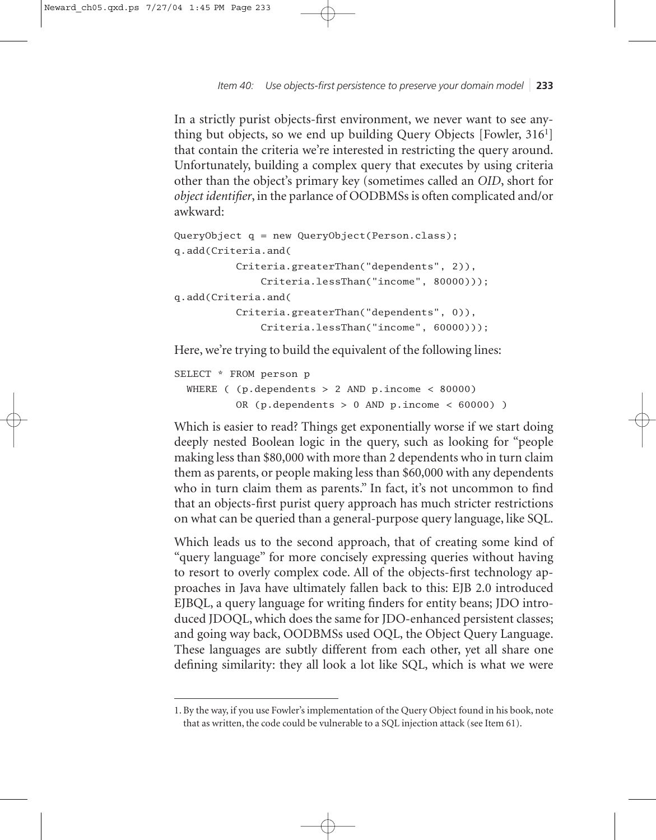*Item 40: Use objects-first persistence to preserve your domain model* ❘ **233**

In a strictly purist objects-first environment, we never want to see anything but objects, so we end up building Query Objects [Fowler, 316<sup>1</sup>] that contain the criteria we're interested in restricting the query around. Unfortunately, building a complex query that executes by using criteria other than the object's primary key (sometimes called an *OID*, short for *object identifier*, in the parlance of OODBMSs is often complicated and/or awkward:

```
QueryObject q = new QueryObject(Person.class);
q.add(Criteria.and(
          Criteria.greaterThan("dependents", 2)),
              Criteria.lessThan("income", 80000)));
q.add(Criteria.and(
          Criteria.greaterThan("dependents", 0)),
              Criteria.lessThan("income", 60000)));
```
Here, we're trying to build the equivalent of the following lines:

```
SELECT * FROM person p
       WHERE ( (p \text{.depends on } p \text{.} n \text{.} n \text{.} n \text{.} n \text{.} n \text{.} n \text{.} n \text{.} n \text{.} n \text{.} n \text{.} n \text{.} n \text{.} n \text{.} n \text{.} n \text{.} n \text{.} n \text{.} n \text{.} n \text{.} n \text{.} n \text{.} n \text{.} n \text{.} n \text{.} n \text{.} n \text{.} n \text{.} n \text{.} n \text{.} n \text{.} n \text{.} n \text{.} n \text{.}OR (p.dependents > 0 AND p.income < 60000) )
```
Which is easier to read? Things get exponentially worse if we start doing deeply nested Boolean logic in the query, such as looking for "people making less than \$80,000 with more than 2 dependents who in turn claim them as parents, or people making less than \$60,000 with any dependents who in turn claim them as parents." In fact, it's not uncommon to find that an objects-first purist query approach has much stricter restrictions on what can be queried than a general-purpose query language, like SQL.

Which leads us to the second approach, that of creating some kind of "query language" for more concisely expressing queries without having to resort to overly complex code. All of the objects-first technology approaches in Java have ultimately fallen back to this: EJB 2.0 introduced EJBQL, a query language for writing finders for entity beans; JDO introduced JDOQL, which does the same for JDO-enhanced persistent classes; and going way back, OODBMSs used OQL, the Object Query Language. These languages are subtly different from each other, yet all share one defining similarity: they all look a lot like SQL, which is what we were

<sup>1.</sup> By the way, if you use Fowler's implementation of the Query Object found in his book, note that as written, the code could be vulnerable to a SQL injection attack (see Item 61).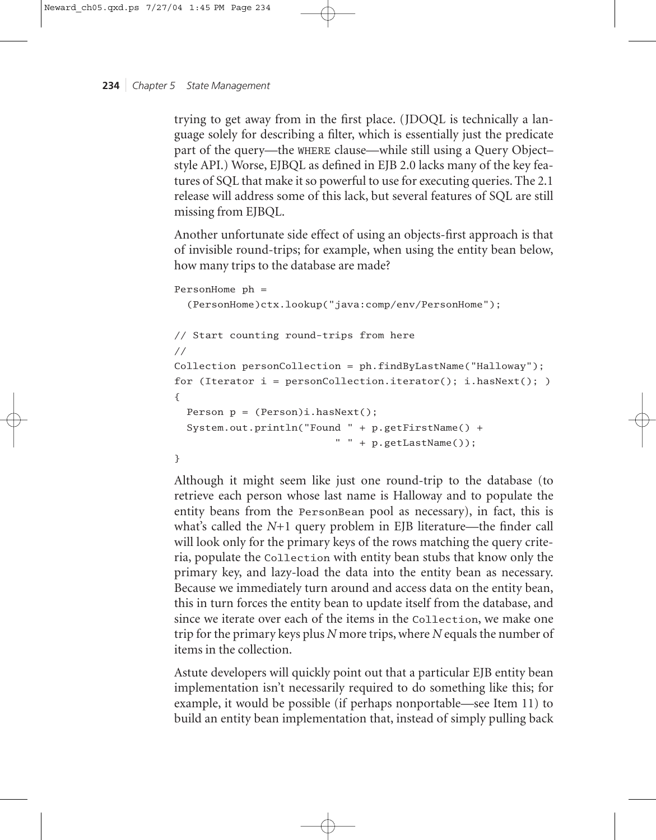trying to get away from in the first place. (JDOQL is technically a language solely for describing a filter, which is essentially just the predicate part of the query—the WHERE clause—while still using a Query Object– style API.) Worse, EJBQL as defined in EJB 2.0 lacks many of the key features of SQL that make it so powerful to use for executing queries. The 2.1 release will address some of this lack, but several features of SQL are still missing from EJBQL.

Another unfortunate side effect of using an objects-first approach is that of invisible round-trips; for example, when using the entity bean below, how many trips to the database are made?

```
PersonHome ph =
```
(PersonHome)ctx.lookup("java:comp/env/PersonHome");

```
// Start counting round-trips from here
//
Collection personCollection = ph.findByLastName("Halloway");
for (Iterator i = personCollection.items(t); i.hasNext();)
{
 Person p = (Person)i.hashext();
 System.out.println("Found " + p.getFirstName() +
                          " " + p.getLastName());
}
```
Although it might seem like just one round-trip to the database (to retrieve each person whose last name is Halloway and to populate the entity beans from the PersonBean pool as necessary), in fact, this is what's called the *N*+1 query problem in EJB literature—the finder call will look only for the primary keys of the rows matching the query criteria, populate the Collection with entity bean stubs that know only the primary key, and lazy-load the data into the entity bean as necessary. Because we immediately turn around and access data on the entity bean, this in turn forces the entity bean to update itself from the database, and since we iterate over each of the items in the Collection, we make one trip for the primary keys plus *N* more trips, where *N* equals the number of items in the collection.

Astute developers will quickly point out that a particular EJB entity bean implementation isn't necessarily required to do something like this; for example, it would be possible (if perhaps nonportable—see Item 11) to build an entity bean implementation that, instead of simply pulling back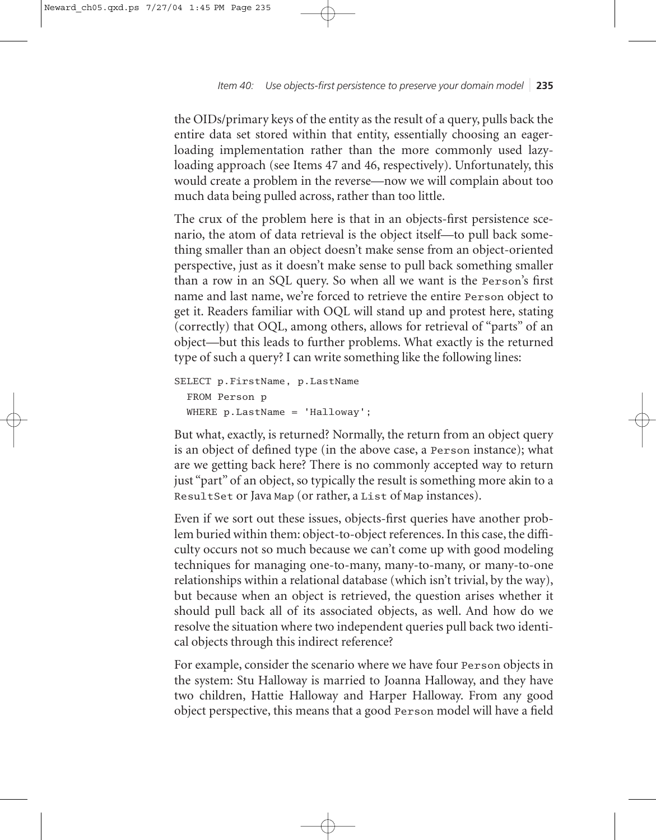*Item 40: Use objects-first persistence to preserve your domain model* ❘ **235**

the OIDs/primary keys of the entity as the result of a query, pulls back the entire data set stored within that entity, essentially choosing an eagerloading implementation rather than the more commonly used lazyloading approach (see Items 47 and 46, respectively). Unfortunately, this would create a problem in the reverse—now we will complain about too much data being pulled across, rather than too little.

The crux of the problem here is that in an objects-first persistence scenario, the atom of data retrieval is the object itself—to pull back something smaller than an object doesn't make sense from an object-oriented perspective, just as it doesn't make sense to pull back something smaller than a row in an SQL query. So when all we want is the Person's first name and last name, we're forced to retrieve the entire Person object to get it. Readers familiar with OQL will stand up and protest here, stating (correctly) that OQL, among others, allows for retrieval of "parts" of an object—but this leads to further problems. What exactly is the returned type of such a query? I can write something like the following lines:

```
SELECT p.FirstName, p.LastName
  FROM Person p
 WHERE p.LastName = 'Halloway';
```
But what, exactly, is returned? Normally, the return from an object query is an object of defined type (in the above case, a Person instance); what are we getting back here? There is no commonly accepted way to return just "part" of an object, so typically the result is something more akin to a ResultSet or Java Map (or rather, a List of Map instances).

Even if we sort out these issues, objects-first queries have another problem buried within them: object-to-object references. In this case, the difficulty occurs not so much because we can't come up with good modeling techniques for managing one-to-many, many-to-many, or many-to-one relationships within a relational database (which isn't trivial, by the way), but because when an object is retrieved, the question arises whether it should pull back all of its associated objects, as well. And how do we resolve the situation where two independent queries pull back two identical objects through this indirect reference?

For example, consider the scenario where we have four Person objects in the system: Stu Halloway is married to Joanna Halloway, and they have two children, Hattie Halloway and Harper Halloway. From any good object perspective, this means that a good Person model will have a field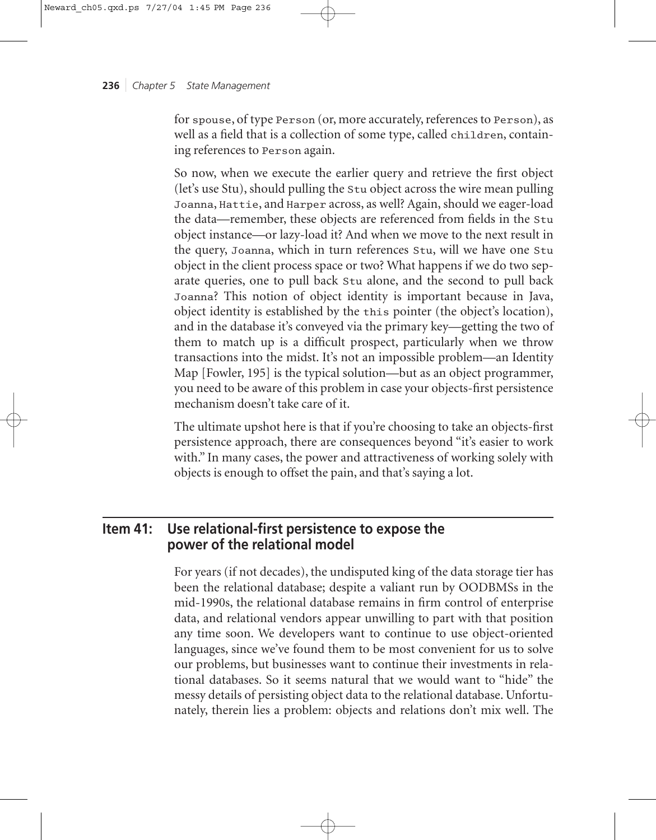for spouse, of type Person (or, more accurately, references to Person), as well as a field that is a collection of some type, called children, containing references to Person again.

So now, when we execute the earlier query and retrieve the first object (let's use Stu), should pulling the Stu object across the wire mean pulling Joanna, Hattie, and Harper across, as well? Again, should we eager-load the data—remember, these objects are referenced from fields in the Stu object instance—or lazy-load it? And when we move to the next result in the query, Joanna, which in turn references Stu, will we have one Stu object in the client process space or two? What happens if we do two separate queries, one to pull back Stu alone, and the second to pull back Joanna? This notion of object identity is important because in Java, object identity is established by the this pointer (the object's location), and in the database it's conveyed via the primary key—getting the two of them to match up is a difficult prospect, particularly when we throw transactions into the midst. It's not an impossible problem—an Identity Map [Fowler, 195] is the typical solution—but as an object programmer, you need to be aware of this problem in case your objects-first persistence mechanism doesn't take care of it.

The ultimate upshot here is that if you're choosing to take an objects-first persistence approach, there are consequences beyond "it's easier to work with." In many cases, the power and attractiveness of working solely with objects is enough to offset the pain, and that's saying a lot.

# **Item 41: Use relational-first persistence to expose the power of the relational model**

For years (if not decades), the undisputed king of the data storage tier has been the relational database; despite a valiant run by OODBMSs in the mid-1990s, the relational database remains in firm control of enterprise data, and relational vendors appear unwilling to part with that position any time soon. We developers want to continue to use object-oriented languages, since we've found them to be most convenient for us to solve our problems, but businesses want to continue their investments in relational databases. So it seems natural that we would want to "hide" the messy details of persisting object data to the relational database. Unfortunately, therein lies a problem: objects and relations don't mix well. The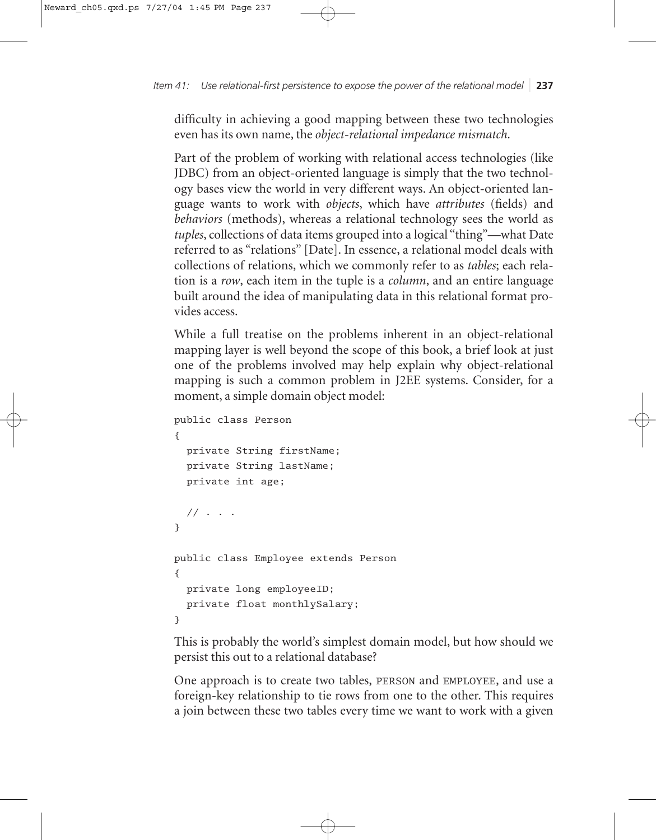*Item 41: Use relational-first persistence to expose the power of the relational model* ❘ **237**

difficulty in achieving a good mapping between these two technologies even has its own name, the *object-relational impedance mismatch*.

Part of the problem of working with relational access technologies (like JDBC) from an object-oriented language is simply that the two technology bases view the world in very different ways. An object-oriented language wants to work with *objects*, which have *attributes* (fields) and *behaviors* (methods), whereas a relational technology sees the world as *tuples*, collections of data items grouped into a logical "thing"—what Date referred to as "relations" [Date]. In essence, a relational model deals with collections of relations, which we commonly refer to as *tables*; each relation is a *row*, each item in the tuple is a *column*, and an entire language built around the idea of manipulating data in this relational format provides access.

While a full treatise on the problems inherent in an object-relational mapping layer is well beyond the scope of this book, a brief look at just one of the problems involved may help explain why object-relational mapping is such a common problem in J2EE systems. Consider, for a moment, a simple domain object model:

```
public class Person
{
  private String firstName;
  private String lastName;
  private int age;
  // . . .
}
public class Employee extends Person
{
  private long employeeID;
  private float monthlySalary;
}
```
This is probably the world's simplest domain model, but how should we persist this out to a relational database?

One approach is to create two tables, PERSON and EMPLOYEE, and use a foreign-key relationship to tie rows from one to the other. This requires a join between these two tables every time we want to work with a given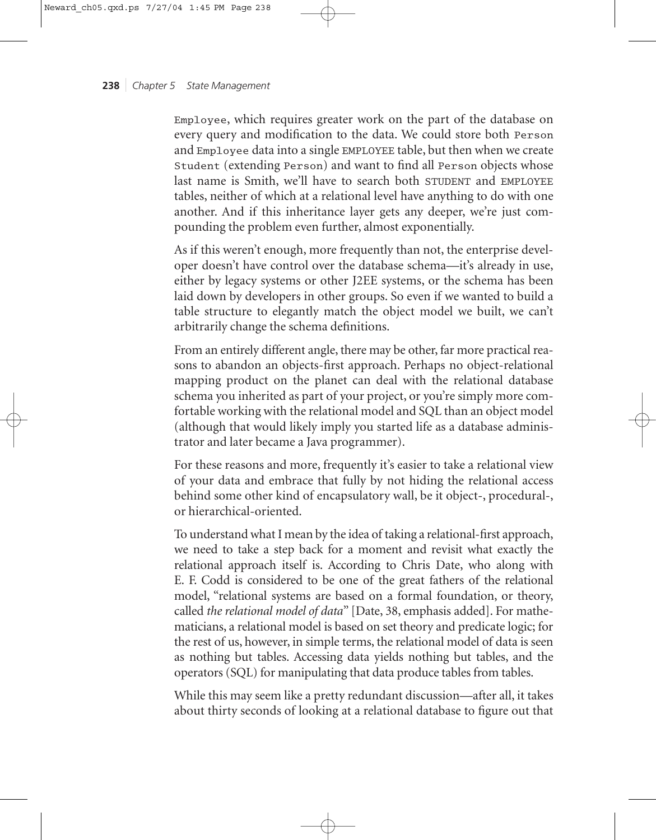Employee, which requires greater work on the part of the database on every query and modification to the data. We could store both Person and Employee data into a single EMPLOYEE table, but then when we create Student (extending Person) and want to find all Person objects whose last name is Smith, we'll have to search both STUDENT and EMPLOYEE tables, neither of which at a relational level have anything to do with one another. And if this inheritance layer gets any deeper, we're just compounding the problem even further, almost exponentially.

As if this weren't enough, more frequently than not, the enterprise developer doesn't have control over the database schema—it's already in use, either by legacy systems or other J2EE systems, or the schema has been laid down by developers in other groups. So even if we wanted to build a table structure to elegantly match the object model we built, we can't arbitrarily change the schema definitions.

From an entirely different angle, there may be other, far more practical reasons to abandon an objects-first approach. Perhaps no object-relational mapping product on the planet can deal with the relational database schema you inherited as part of your project, or you're simply more comfortable working with the relational model and SQL than an object model (although that would likely imply you started life as a database administrator and later became a Java programmer).

For these reasons and more, frequently it's easier to take a relational view of your data and embrace that fully by not hiding the relational access behind some other kind of encapsulatory wall, be it object-, procedural-, or hierarchical-oriented.

To understand what I mean by the idea of taking a relational-first approach, we need to take a step back for a moment and revisit what exactly the relational approach itself is. According to Chris Date, who along with E. F. Codd is considered to be one of the great fathers of the relational model, "relational systems are based on a formal foundation, or theory, called *the relational model of data*" [Date, 38, emphasis added]. For mathematicians, a relational model is based on set theory and predicate logic; for the rest of us, however, in simple terms, the relational model of data is seen as nothing but tables. Accessing data yields nothing but tables, and the operators (SQL) for manipulating that data produce tables from tables.

While this may seem like a pretty redundant discussion—after all, it takes about thirty seconds of looking at a relational database to figure out that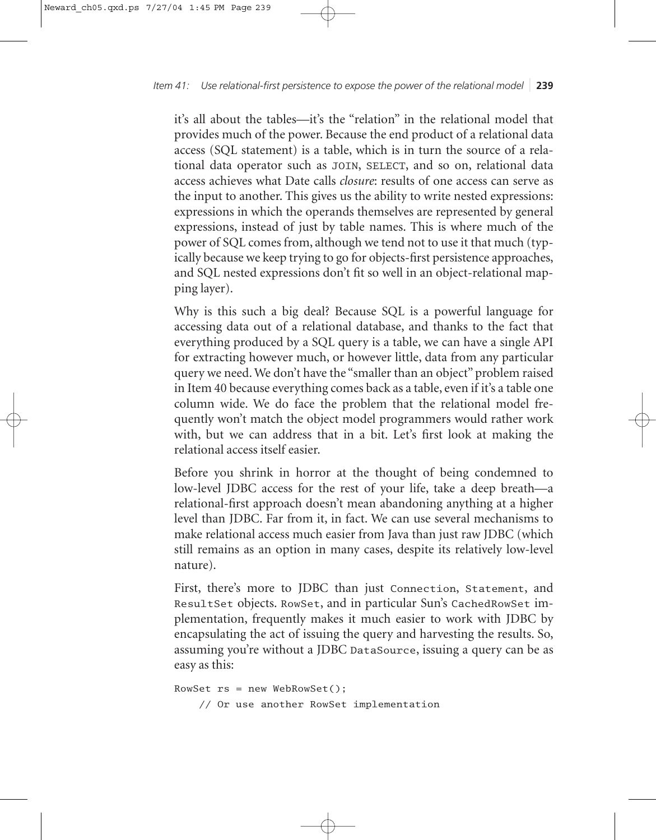# *Item 41: Use relational-first persistence to expose the power of the relational model* ❘ **239**

it's all about the tables—it's the "relation" in the relational model that provides much of the power. Because the end product of a relational data access (SQL statement) is a table, which is in turn the source of a relational data operator such as JOIN, SELECT, and so on, relational data access achieves what Date calls *closure*: results of one access can serve as the input to another. This gives us the ability to write nested expressions: expressions in which the operands themselves are represented by general expressions, instead of just by table names. This is where much of the power of SQL comes from, although we tend not to use it that much (typically because we keep trying to go for objects-first persistence approaches, and SQL nested expressions don't fit so well in an object-relational mapping layer).

Why is this such a big deal? Because SQL is a powerful language for accessing data out of a relational database, and thanks to the fact that everything produced by a SQL query is a table, we can have a single API for extracting however much, or however little, data from any particular query we need. We don't have the "smaller than an object" problem raised in Item 40 because everything comes back as a table, even if it's a table one column wide. We do face the problem that the relational model frequently won't match the object model programmers would rather work with, but we can address that in a bit. Let's first look at making the relational access itself easier.

Before you shrink in horror at the thought of being condemned to low-level JDBC access for the rest of your life, take a deep breath—a relational-first approach doesn't mean abandoning anything at a higher level than JDBC. Far from it, in fact. We can use several mechanisms to make relational access much easier from Java than just raw JDBC (which still remains as an option in many cases, despite its relatively low-level nature).

First, there's more to JDBC than just Connection, Statement, and ResultSet objects. RowSet, and in particular Sun's CachedRowSet implementation, frequently makes it much easier to work with JDBC by encapsulating the act of issuing the query and harvesting the results. So, assuming you're without a JDBC DataSource, issuing a query can be as easy as this:

```
RowSet rs = new WebRowSet(); 
    // Or use another RowSet implementation
```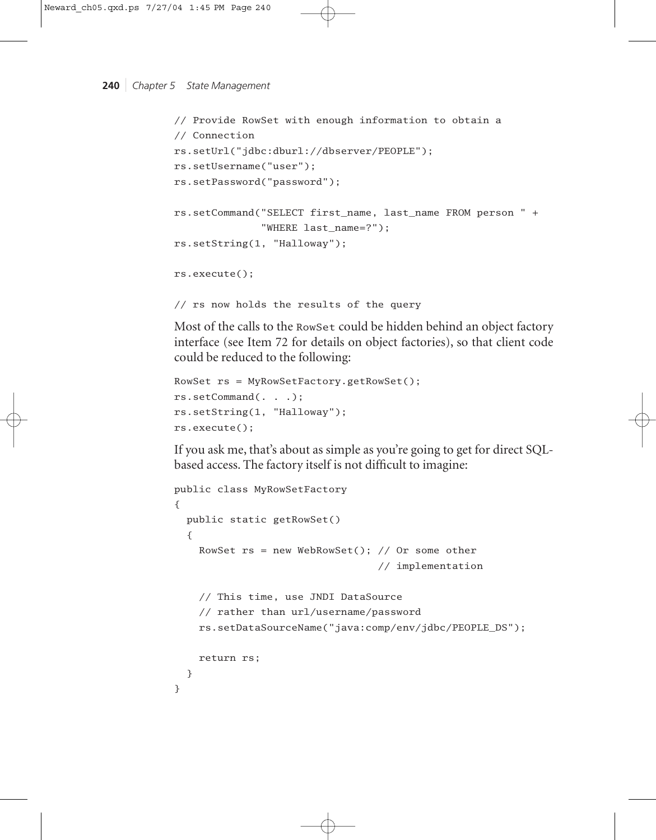```
240 | Chapter 5 State Management
```

```
// Provide RowSet with enough information to obtain a 
// Connection
rs.setUrl("jdbc:dburl://dbserver/PEOPLE");
rs.setUsername("user");
rs.setPassword("password");
rs.setCommand("SELECT first_name, last_name FROM person " +
              "WHERE last_name=?");
rs.setString(1, "Halloway");
rs.execute();
// rs now holds the results of the query
```
Most of the calls to the RowSet could be hidden behind an object factory interface (see Item 72 for details on object factories), so that client code could be reduced to the following:

```
RowSet rs = MyRowSetFactory.getRowSet();
rs.setCommand(. . .);
rs.setString(1, "Halloway");
rs.execute();
```
If you ask me, that's about as simple as you're going to get for direct SQLbased access. The factory itself is not difficult to imagine:

```
public class MyRowSetFactory
{
  public static getRowSet()
  {
    RowSet rs = new WebRowSet(); // Or some other 
                                  // implementation
    // This time, use JNDI DataSource
    // rather than url/username/password
    rs.setDataSourceName("java:comp/env/jdbc/PEOPLE_DS");
    return rs;
  }
}
```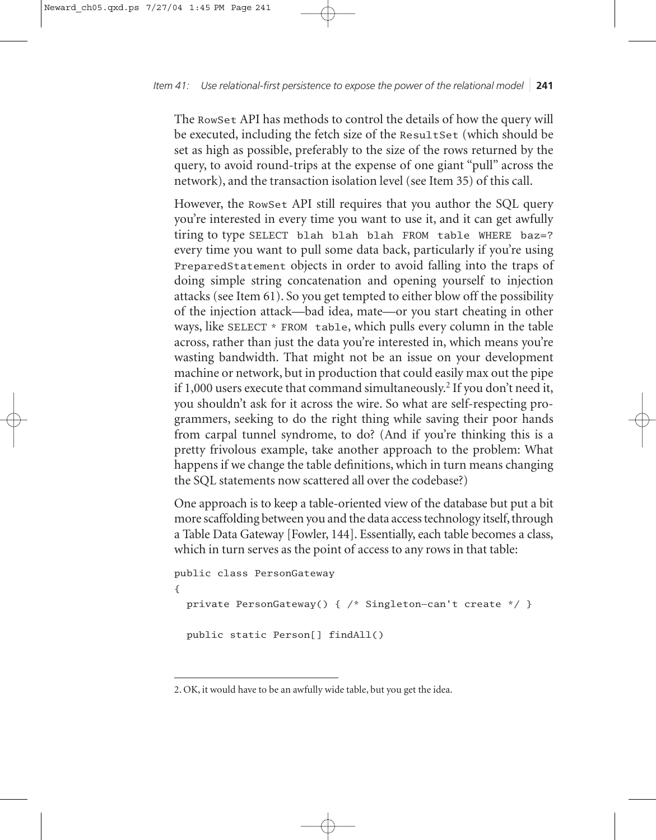The RowSet API has methods to control the details of how the query will be executed, including the fetch size of the ResultSet (which should be set as high as possible, preferably to the size of the rows returned by the query, to avoid round-trips at the expense of one giant "pull" across the network), and the transaction isolation level (see Item 35) of this call.

However, the RowSet API still requires that you author the SQL query you're interested in every time you want to use it, and it can get awfully tiring to type SELECT blah blah blah FROM table WHERE baz=? every time you want to pull some data back, particularly if you're using PreparedStatement objects in order to avoid falling into the traps of doing simple string concatenation and opening yourself to injection attacks (see Item 61). So you get tempted to either blow off the possibility of the injection attack—bad idea, mate—or you start cheating in other ways, like SELECT \* FROM table, which pulls every column in the table across, rather than just the data you're interested in, which means you're wasting bandwidth. That might not be an issue on your development machine or network, but in production that could easily max out the pipe if 1,000 users execute that command simultaneously.2 If you don't need it, you shouldn't ask for it across the wire. So what are self-respecting programmers, seeking to do the right thing while saving their poor hands from carpal tunnel syndrome, to do? (And if you're thinking this is a pretty frivolous example, take another approach to the problem: What happens if we change the table definitions, which in turn means changing the SQL statements now scattered all over the codebase?)

One approach is to keep a table-oriented view of the database but put a bit more scaffolding between you and the data access technology itself, through a Table Data Gateway [Fowler, 144]. Essentially, each table becomes a class, which in turn serves as the point of access to any rows in that table:

```
public class PersonGateway
{
 private PersonGateway() { /* Singleton—can't create */ }
 public static Person[] findAll()
```
<sup>2.</sup> OK, it would have to be an awfully wide table, but you get the idea.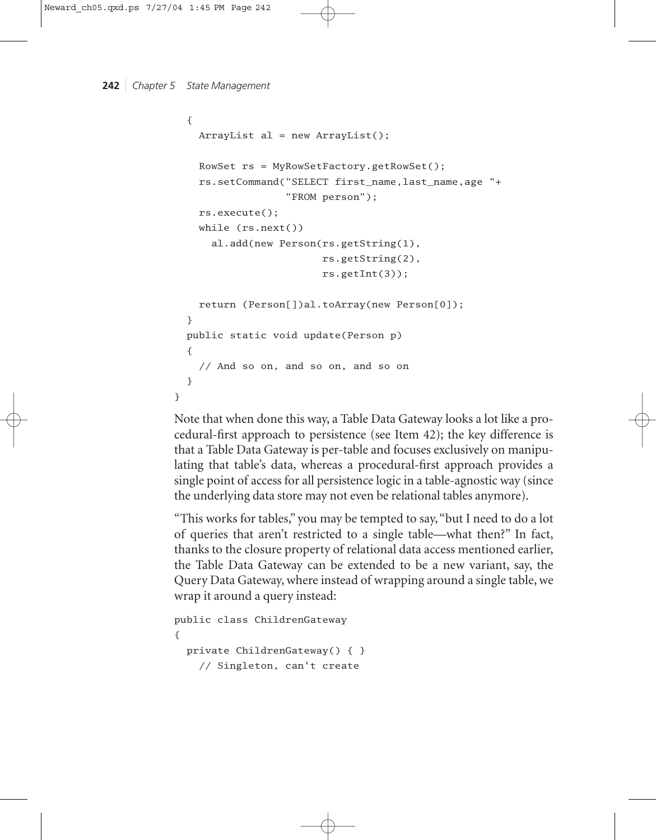```
242 | Chapter 5 State Management
```

```
{
    ArrayList al = new ArrayList();
    RowSet rs = MyRowSetFactory.getRowSet();
    rs.setCommand("SELECT first_name,last_name,age "+ 
                  "FROM person");
    rs.execute();
    while (rs.next())
      al.add(new Person(rs.getString(1), 
                        rs.getString(2), 
                        rs.getInt(3));
    return (Person[])al.toArray(new Person[0]);
 }
 public static void update(Person p)
  {
    // And so on, and so on, and so on
  }
}
```
Note that when done this way, a Table Data Gateway looks a lot like a procedural-first approach to persistence (see Item 42); the key difference is that a Table Data Gateway is per-table and focuses exclusively on manipulating that table's data, whereas a procedural-first approach provides a single point of access for all persistence logic in a table-agnostic way (since the underlying data store may not even be relational tables anymore).

"This works for tables," you may be tempted to say, "but I need to do a lot of queries that aren't restricted to a single table—what then?" In fact, thanks to the closure property of relational data access mentioned earlier, the Table Data Gateway can be extended to be a new variant, say, the Query Data Gateway, where instead of wrapping around a single table, we wrap it around a query instead:

```
public class ChildrenGateway
{
 private ChildrenGateway() { }
    // Singleton, can't create
```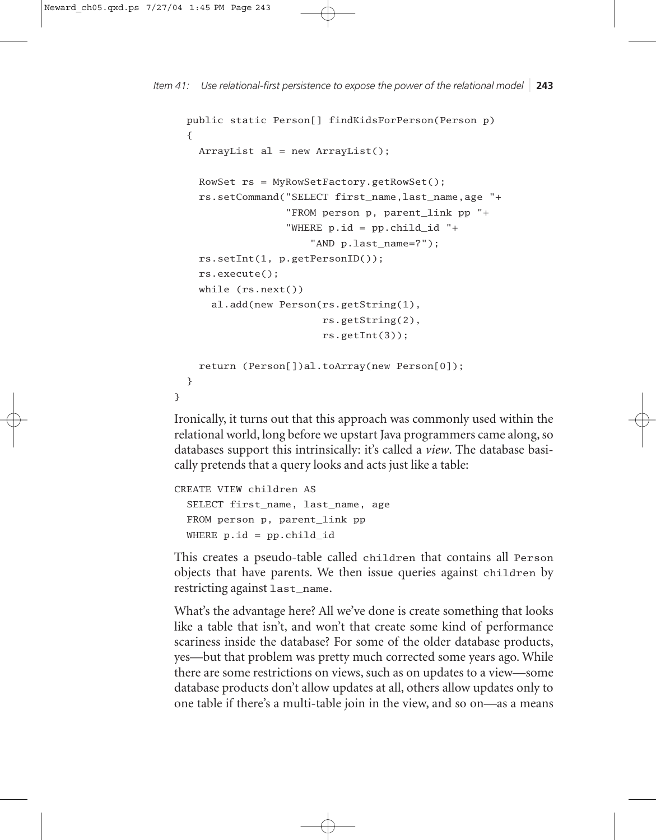```
Item 41: Use relational-first persistence to expose the power of the relational model 243
```

```
public static Person[] findKidsForPerson(Person p)
  {
    ArrayList al = new ArrayList();
    RowSet rs = MyRowSetFactory.getRowSet();
    rs.setCommand("SELECT first_name,last_name,age "+
                  "FROM person p, parent_link pp "+
                  "WHERE p.id = pp.child_id "+
                      "AND p.last_name=?");
    rs.setInt(1, p.getPersonID());
    rs.execute();
    while (rs.next())
      al.add(new Person(rs.getString(1), 
                        rs.getString(2),
                        rs.getInt(3));
    return (Person[])al.toArray(new Person[0]);
 }
}
```
Ironically, it turns out that this approach was commonly used within the relational world, long before we upstart Java programmers came along, so databases support this intrinsically: it's called a *view*. The database basically pretends that a query looks and acts just like a table:

```
CREATE VIEW children AS
 SELECT first_name, last_name, age
 FROM person p, parent_link pp
 WHERE p.id = pp.child_id
```
This creates a pseudo-table called children that contains all Person objects that have parents. We then issue queries against children by restricting against last\_name.

What's the advantage here? All we've done is create something that looks like a table that isn't, and won't that create some kind of performance scariness inside the database? For some of the older database products, yes—but that problem was pretty much corrected some years ago. While there are some restrictions on views, such as on updates to a view—some database products don't allow updates at all, others allow updates only to one table if there's a multi-table join in the view, and so on—as a means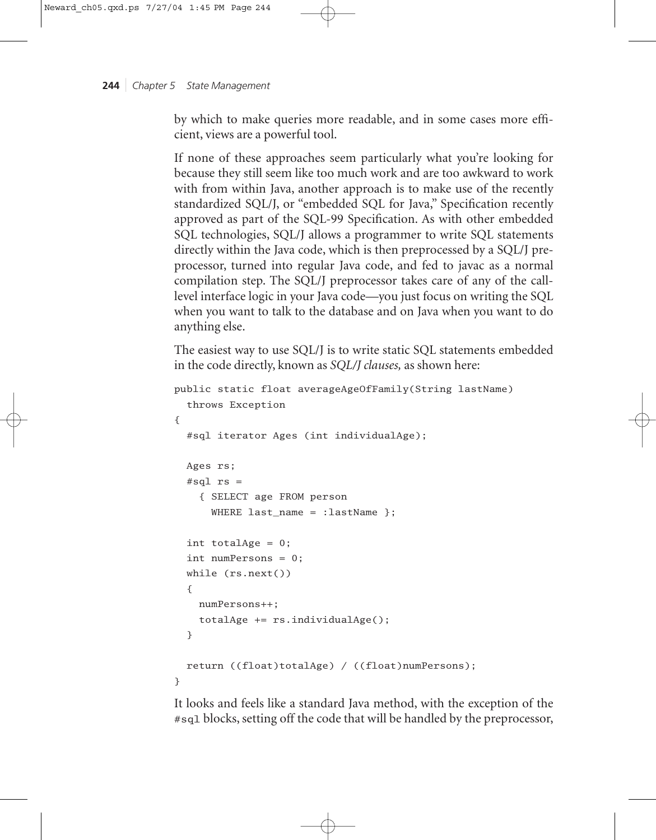by which to make queries more readable, and in some cases more efficient, views are a powerful tool.

If none of these approaches seem particularly what you're looking for because they still seem like too much work and are too awkward to work with from within Java, another approach is to make use of the recently standardized SQL/J, or "embedded SQL for Java," Specification recently approved as part of the SQL-99 Specification. As with other embedded SQL technologies, SQL/J allows a programmer to write SQL statements directly within the Java code, which is then preprocessed by a SQL/J preprocessor, turned into regular Java code, and fed to javac as a normal compilation step. The SQL/J preprocessor takes care of any of the calllevel interface logic in your Java code—you just focus on writing the SQL when you want to talk to the database and on Java when you want to do anything else.

The easiest way to use SQL/J is to write static SQL statements embedded in the code directly, known as *SQL/J clauses,* as shown here:

```
public static float averageAgeOfFamily(String lastName)
  throws Exception
{
  #sql iterator Ages (int individualAge);
  Ages rs;
  #sql rs ={ SELECT age FROM person 
      WHERE last_name = :lastName };
  int totalAge = 0;
  int numPersons = 0;
  while (rs.next())
  {
    numPersons++;
    totalAge += rs.individualAge();
  }
  return ((float)totalAge) / ((float)numPersons);
}
```
It looks and feels like a standard Java method, with the exception of the #sql blocks, setting off the code that will be handled by the preprocessor,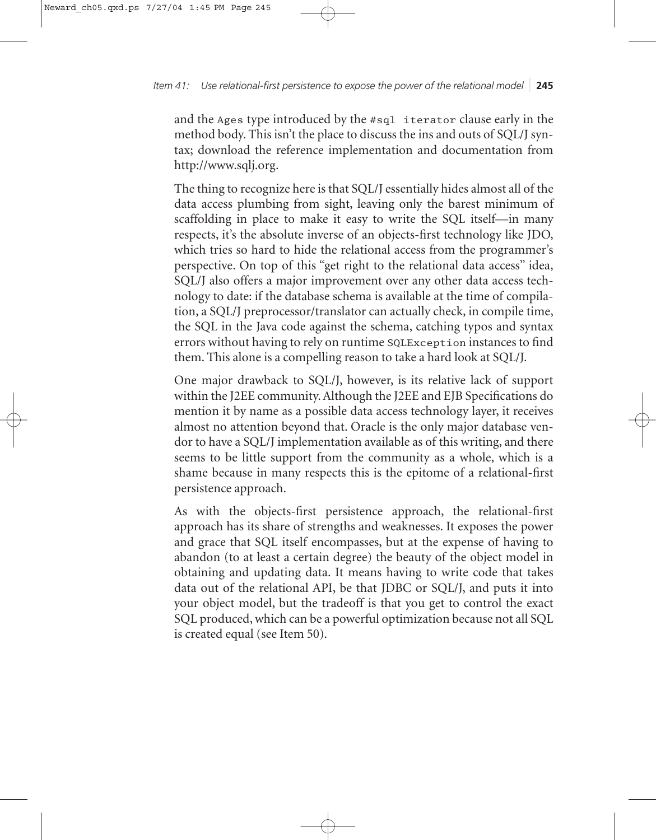# *Item 41: Use relational-first persistence to expose the power of the relational model* ❘ **245**

and the Ages type introduced by the #sql iterator clause early in the method body. This isn't the place to discuss the ins and outs of SQL/J syntax; download the reference implementation and documentation from http://www.sqlj.org.

The thing to recognize here is that SQL/J essentially hides almost all of the data access plumbing from sight, leaving only the barest minimum of scaffolding in place to make it easy to write the SQL itself—in many respects, it's the absolute inverse of an objects-first technology like JDO, which tries so hard to hide the relational access from the programmer's perspective. On top of this "get right to the relational data access" idea, SQL/J also offers a major improvement over any other data access technology to date: if the database schema is available at the time of compilation, a SQL/J preprocessor/translator can actually check, in compile time, the SQL in the Java code against the schema, catching typos and syntax errors without having to rely on runtime SQLException instances to find them. This alone is a compelling reason to take a hard look at SQL/J.

One major drawback to SQL/J, however, is its relative lack of support within the J2EE community. Although the J2EE and EJB Specifications do mention it by name as a possible data access technology layer, it receives almost no attention beyond that. Oracle is the only major database vendor to have a SQL/J implementation available as of this writing, and there seems to be little support from the community as a whole, which is a shame because in many respects this is the epitome of a relational-first persistence approach.

As with the objects-first persistence approach, the relational-first approach has its share of strengths and weaknesses. It exposes the power and grace that SQL itself encompasses, but at the expense of having to abandon (to at least a certain degree) the beauty of the object model in obtaining and updating data. It means having to write code that takes data out of the relational API, be that JDBC or SQL/J, and puts it into your object model, but the tradeoff is that you get to control the exact SQL produced, which can be a powerful optimization because not all SQL is created equal (see Item 50).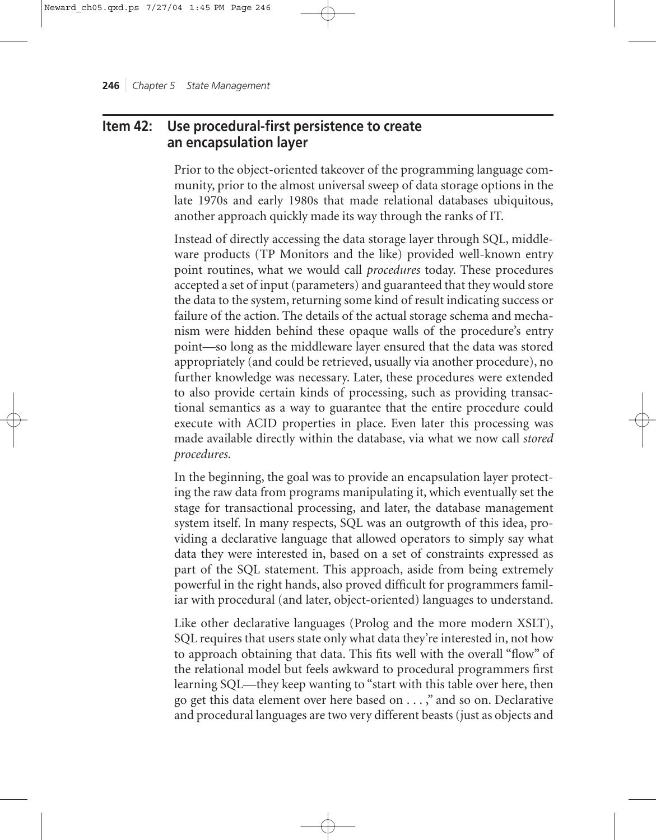# **Item 42: Use procedural-first persistence to create an encapsulation layer**

Prior to the object-oriented takeover of the programming language community, prior to the almost universal sweep of data storage options in the late 1970s and early 1980s that made relational databases ubiquitous, another approach quickly made its way through the ranks of IT.

Instead of directly accessing the data storage layer through SQL, middleware products (TP Monitors and the like) provided well-known entry point routines, what we would call *procedures* today. These procedures accepted a set of input (parameters) and guaranteed that they would store the data to the system, returning some kind of result indicating success or failure of the action. The details of the actual storage schema and mechanism were hidden behind these opaque walls of the procedure's entry point—so long as the middleware layer ensured that the data was stored appropriately (and could be retrieved, usually via another procedure), no further knowledge was necessary. Later, these procedures were extended to also provide certain kinds of processing, such as providing transactional semantics as a way to guarantee that the entire procedure could execute with ACID properties in place. Even later this processing was made available directly within the database, via what we now call *stored procedures*.

In the beginning, the goal was to provide an encapsulation layer protecting the raw data from programs manipulating it, which eventually set the stage for transactional processing, and later, the database management system itself. In many respects, SQL was an outgrowth of this idea, providing a declarative language that allowed operators to simply say what data they were interested in, based on a set of constraints expressed as part of the SQL statement. This approach, aside from being extremely powerful in the right hands, also proved difficult for programmers familiar with procedural (and later, object-oriented) languages to understand.

Like other declarative languages (Prolog and the more modern XSLT), SQL requires that users state only what data they're interested in, not how to approach obtaining that data. This fits well with the overall "flow" of the relational model but feels awkward to procedural programmers first learning SQL—they keep wanting to "start with this table over here, then go get this data element over here based on . . . ," and so on. Declarative and procedural languages are two very different beasts (just as objects and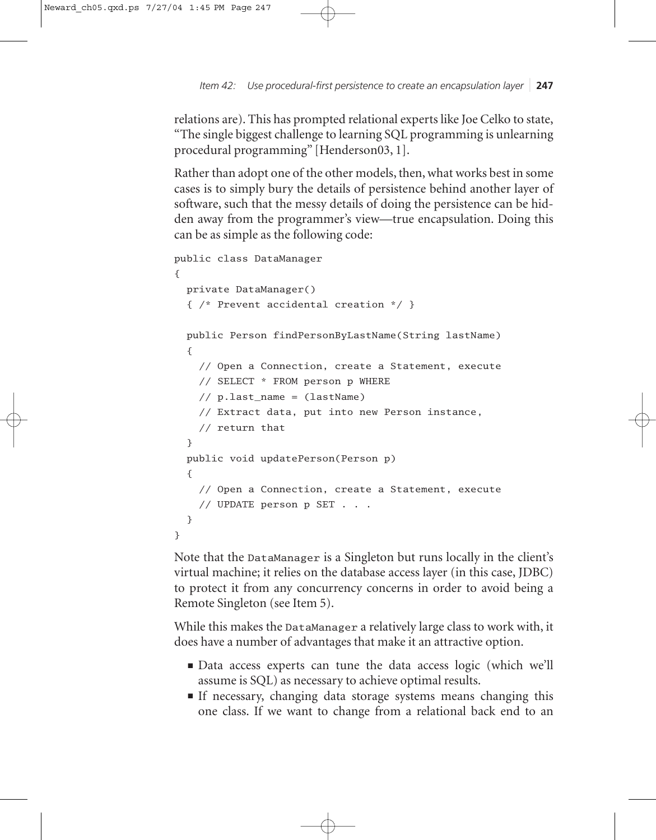*Item 42: Use procedural-first persistence to create an encapsulation layer* ❘ **247**

relations are). This has prompted relational experts like Joe Celko to state, "The single biggest challenge to learning SQL programming is unlearning procedural programming" [Henderson03, 1].

Rather than adopt one of the other models, then, what works best in some cases is to simply bury the details of persistence behind another layer of software, such that the messy details of doing the persistence can be hidden away from the programmer's view—true encapsulation. Doing this can be as simple as the following code:

```
public class DataManager
{
  private DataManager() 
  { /* Prevent accidental creation */ }
  public Person findPersonByLastName(String lastName)
  {
    // Open a Connection, create a Statement, execute
    // SELECT * FROM person p WHERE 
    // p.last_name = (lastName)
    // Extract data, put into new Person instance,
    // return that
  }
  public void updatePerson(Person p)
  {
    // Open a Connection, create a Statement, execute
    // UPDATE person p SET . . .
  }
}
```
Note that the DataManager is a Singleton but runs locally in the client's virtual machine; it relies on the database access layer (in this case, JDBC) to protect it from any concurrency concerns in order to avoid being a Remote Singleton (see Item 5).

While this makes the DataManager a relatively large class to work with, it does have a number of advantages that make it an attractive option.

- Data access experts can tune the data access logic (which we'll assume is SQL) as necessary to achieve optimal results.
- If necessary, changing data storage systems means changing this one class. If we want to change from a relational back end to an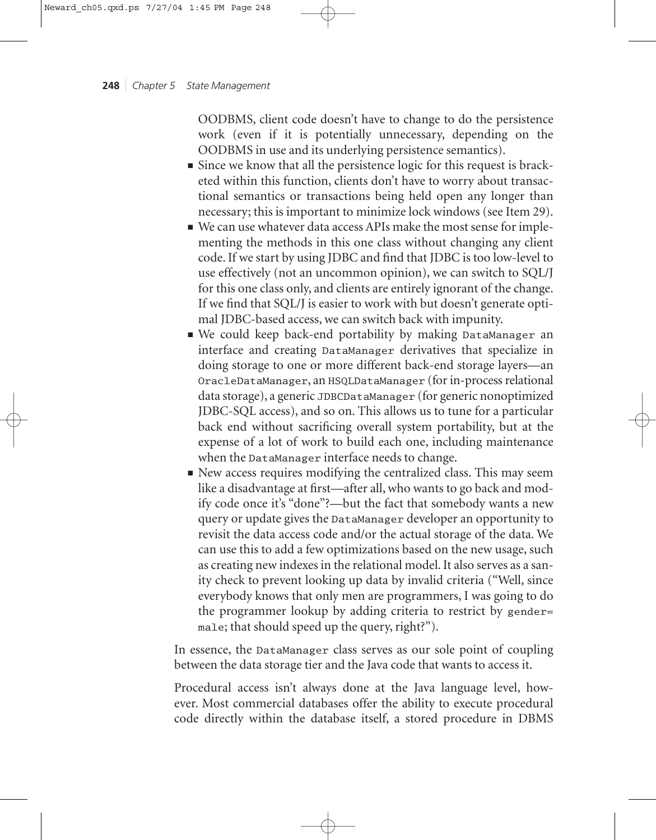OODBMS, client code doesn't have to change to do the persistence work (even if it is potentially unnecessary, depending on the OODBMS in use and its underlying persistence semantics).

- Since we know that all the persistence logic for this request is bracketed within this function, clients don't have to worry about transactional semantics or transactions being held open any longer than necessary; this is important to minimize lock windows (see Item 29).
- We can use whatever data access APIs make the most sense for implementing the methods in this one class without changing any client code. If we start by using JDBC and find that JDBC is too low-level to use effectively (not an uncommon opinion), we can switch to SQL/J for this one class only, and clients are entirely ignorant of the change. If we find that SQL/J is easier to work with but doesn't generate optimal JDBC-based access, we can switch back with impunity.
- We could keep back-end portability by making DataManager an interface and creating DataManager derivatives that specialize in doing storage to one or more different back-end storage layers—an OracleDataManager, an HSQLDataManager (for in-process relational data storage), a generic JDBCDataManager (for generic nonoptimized JDBC-SQL access), and so on. This allows us to tune for a particular back end without sacrificing overall system portability, but at the expense of a lot of work to build each one, including maintenance when the DataManager interface needs to change.
- New access requires modifying the centralized class. This may seem like a disadvantage at first—after all, who wants to go back and modify code once it's "done"?—but the fact that somebody wants a new query or update gives the DataManager developer an opportunity to revisit the data access code and/or the actual storage of the data. We can use this to add a few optimizations based on the new usage, such as creating new indexes in the relational model. It also serves as a sanity check to prevent looking up data by invalid criteria ("Well, since everybody knows that only men are programmers, I was going to do the programmer lookup by adding criteria to restrict by gender= male; that should speed up the query, right?").

In essence, the DataManager class serves as our sole point of coupling between the data storage tier and the Java code that wants to access it.

Procedural access isn't always done at the Java language level, however. Most commercial databases offer the ability to execute procedural code directly within the database itself, a stored procedure in DBMS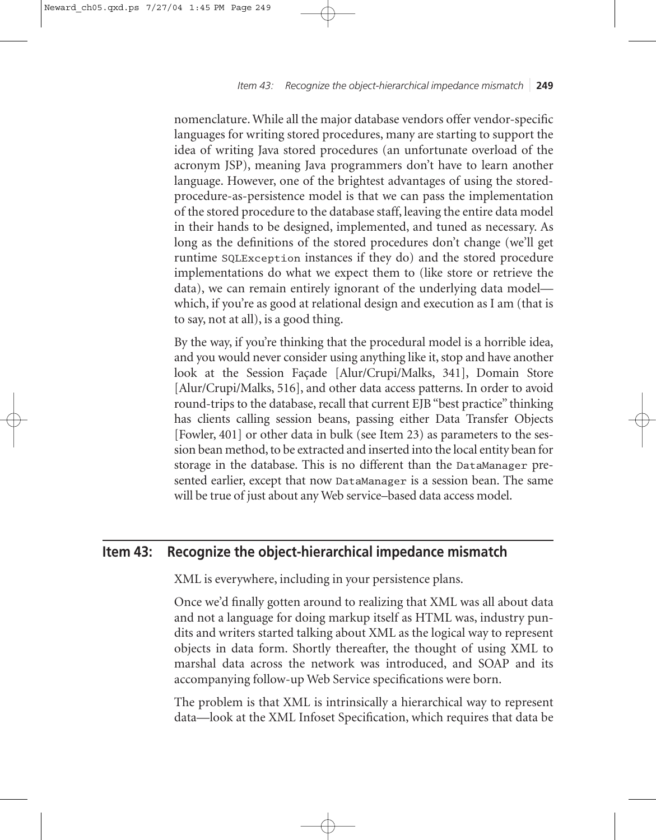*Item 43: Recognize the object-hierarchical impedance mismatch* ❘ **249**

nomenclature. While all the major database vendors offer vendor-specific languages for writing stored procedures, many are starting to support the idea of writing Java stored procedures (an unfortunate overload of the acronym JSP), meaning Java programmers don't have to learn another language. However, one of the brightest advantages of using the storedprocedure-as-persistence model is that we can pass the implementation of the stored procedure to the database staff, leaving the entire data model in their hands to be designed, implemented, and tuned as necessary. As long as the definitions of the stored procedures don't change (we'll get runtime SQLException instances if they do) and the stored procedure implementations do what we expect them to (like store or retrieve the data), we can remain entirely ignorant of the underlying data model which, if you're as good at relational design and execution as I am (that is to say, not at all), is a good thing.

By the way, if you're thinking that the procedural model is a horrible idea, and you would never consider using anything like it, stop and have another look at the Session Façade [Alur/Crupi/Malks, 341], Domain Store [Alur/Crupi/Malks, 516], and other data access patterns. In order to avoid round-trips to the database, recall that current EJB "best practice" thinking has clients calling session beans, passing either Data Transfer Objects [Fowler, 401] or other data in bulk (see Item 23) as parameters to the session bean method, to be extracted and inserted into the local entity bean for storage in the database. This is no different than the DataManager presented earlier, except that now DataManager is a session bean. The same will be true of just about any Web service–based data access model.

# **Item 43: Recognize the object-hierarchical impedance mismatch**

XML is everywhere, including in your persistence plans.

Once we'd finally gotten around to realizing that XML was all about data and not a language for doing markup itself as HTML was, industry pundits and writers started talking about XML as the logical way to represent objects in data form. Shortly thereafter, the thought of using XML to marshal data across the network was introduced, and SOAP and its accompanying follow-up Web Service specifications were born.

The problem is that XML is intrinsically a hierarchical way to represent data—look at the XML Infoset Specification, which requires that data be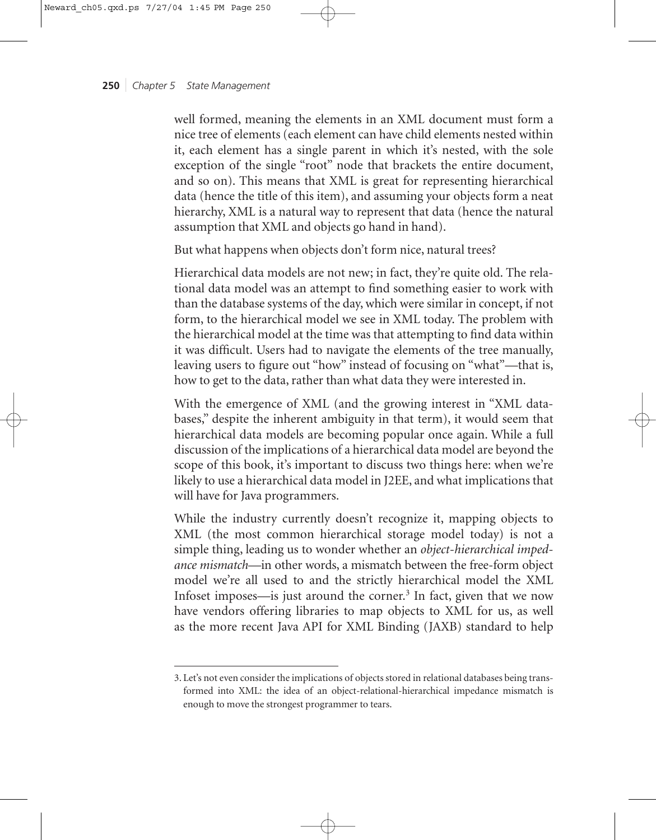well formed, meaning the elements in an XML document must form a nice tree of elements (each element can have child elements nested within it, each element has a single parent in which it's nested, with the sole exception of the single "root" node that brackets the entire document, and so on). This means that XML is great for representing hierarchical data (hence the title of this item), and assuming your objects form a neat hierarchy, XML is a natural way to represent that data (hence the natural assumption that XML and objects go hand in hand).

But what happens when objects don't form nice, natural trees?

Hierarchical data models are not new; in fact, they're quite old. The relational data model was an attempt to find something easier to work with than the database systems of the day, which were similar in concept, if not form, to the hierarchical model we see in XML today. The problem with the hierarchical model at the time was that attempting to find data within it was difficult. Users had to navigate the elements of the tree manually, leaving users to figure out "how" instead of focusing on "what"—that is, how to get to the data, rather than what data they were interested in.

With the emergence of XML (and the growing interest in "XML databases," despite the inherent ambiguity in that term), it would seem that hierarchical data models are becoming popular once again. While a full discussion of the implications of a hierarchical data model are beyond the scope of this book, it's important to discuss two things here: when we're likely to use a hierarchical data model in J2EE, and what implications that will have for Java programmers.

While the industry currently doesn't recognize it, mapping objects to XML (the most common hierarchical storage model today) is not a simple thing, leading us to wonder whether an *object-hierarchical impedance mismatch*—in other words, a mismatch between the free-form object model we're all used to and the strictly hierarchical model the XML Infoset imposes—is just around the corner.<sup>3</sup> In fact, given that we now have vendors offering libraries to map objects to XML for us, as well as the more recent Java API for XML Binding (JAXB) standard to help

<sup>3.</sup> Let's not even consider the implications of objects stored in relational databases being transformed into XML: the idea of an object-relational-hierarchical impedance mismatch is enough to move the strongest programmer to tears.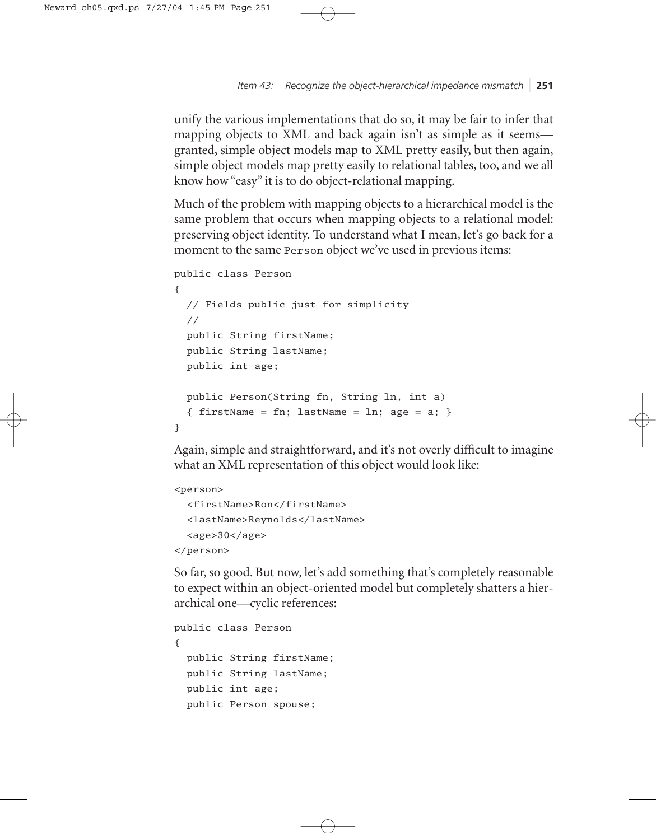*Item 43: Recognize the object-hierarchical impedance mismatch* ❘ **251**

unify the various implementations that do so, it may be fair to infer that mapping objects to XML and back again isn't as simple as it seems granted, simple object models map to XML pretty easily, but then again, simple object models map pretty easily to relational tables, too, and we all know how "easy" it is to do object-relational mapping.

Much of the problem with mapping objects to a hierarchical model is the same problem that occurs when mapping objects to a relational model: preserving object identity. To understand what I mean, let's go back for a moment to the same Person object we've used in previous items:

```
public class Person
{
 // Fields public just for simplicity
  //
 public String firstName;
 public String lastName;
 public int age;
 public Person(String fn, String ln, int a) 
  { firstName = fn; lastName = \ln; age = a; }
}
```
Again, simple and straightforward, and it's not overly difficult to imagine what an XML representation of this object would look like:

```
<person>
 <firstName>Ron</firstName>
```

```
<lastName>Reynolds</lastName>
<age>30</age>
```
</person>

So far, so good. But now, let's add something that's completely reasonable to expect within an object-oriented model but completely shatters a hierarchical one—cyclic references:

```
public class Person
{
  public String firstName;
  public String lastName;
  public int age;
  public Person spouse;
```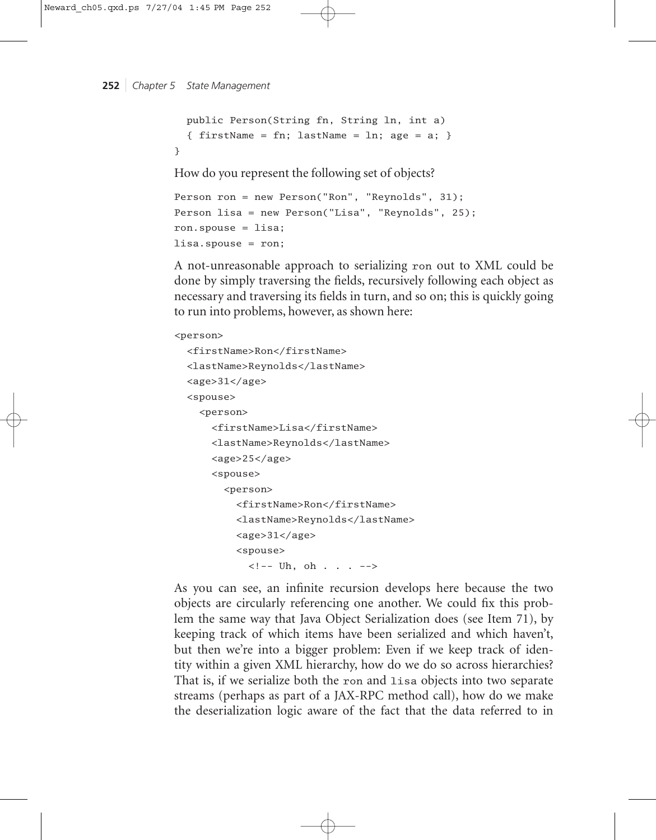```
public Person(String fn, String ln, int a) 
  { firstName = fn; lastName = \ln; age = a; }
}
```
How do you represent the following set of objects?

```
Person ron = new Person("Ron", "Reynolds", 31);
Person lisa = new Person("Lisa", "Reynolds", 25);
ron.spouse = lisa;
lisa.spouse = ron;
```
A not-unreasonable approach to serializing ron out to XML could be done by simply traversing the fields, recursively following each object as necessary and traversing its fields in turn, and so on; this is quickly going to run into problems, however, as shown here:

# <person>

```
<firstName>Ron</firstName>
<lastName>Reynolds</lastName>
<age>31</age>
<spouse>
  <person>
    <firstName>Lisa</firstName>
    <lastName>Reynolds</lastName>
    <age>25</age>
    <spouse>
      <person>
        <firstName>Ron</firstName>
        <lastName>Reynolds</lastName>
        <age>31</age>
        <spouse>
          \langle!-- Uh, oh . . . -->
```
As you can see, an infinite recursion develops here because the two objects are circularly referencing one another. We could fix this problem the same way that Java Object Serialization does (see Item 71), by keeping track of which items have been serialized and which haven't, but then we're into a bigger problem: Even if we keep track of identity within a given XML hierarchy, how do we do so across hierarchies? That is, if we serialize both the ron and lisa objects into two separate streams (perhaps as part of a JAX-RPC method call), how do we make the deserialization logic aware of the fact that the data referred to in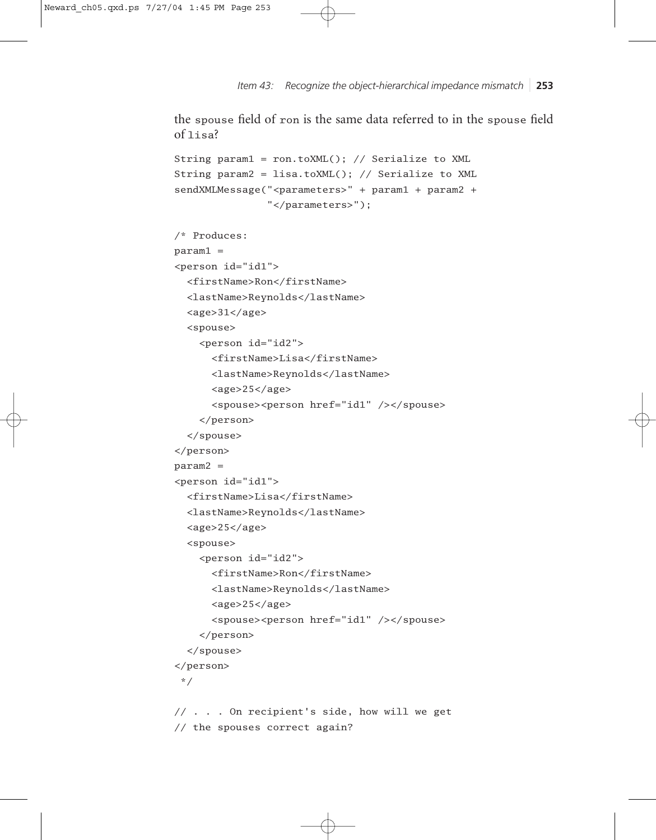*Item 43: Recognize the object-hierarchical impedance mismatch* ❘ **253**

the spouse field of ron is the same data referred to in the spouse field of lisa?

```
String param1 = ron.toXML(); // Serialize to XML
String param2 = lisa.toXML(); // Serialize to XML
sendXMLMessage("<parameters>" + param1 + param2 +
               "</parameters>");
```

```
/* Produces:
param1 =
<person id="id1">
  <firstName>Ron</firstName>
  <lastName>Reynolds</lastName>
  <age>31</age>
  <spouse>
    <person id="id2">
      <firstName>Lisa</firstName>
      <lastName>Reynolds</lastName>
      <age>25</age>
      <spouse><person href="id1" /></spouse>
    </person>
  </spouse>
</person>
param2 =
<person id="id1">
  <firstName>Lisa</firstName>
  <lastName>Reynolds</lastName>
  <age>25</age>
  <spouse>
    <person id="id2">
      <firstName>Ron</firstName>
      <lastName>Reynolds</lastName>
      <age>25</age>
      <spouse><person href="id1" /></spouse>
    </person>
  </spouse>
</person>
 */
// . . . On recipient's side, how will we get
```
// the spouses correct again?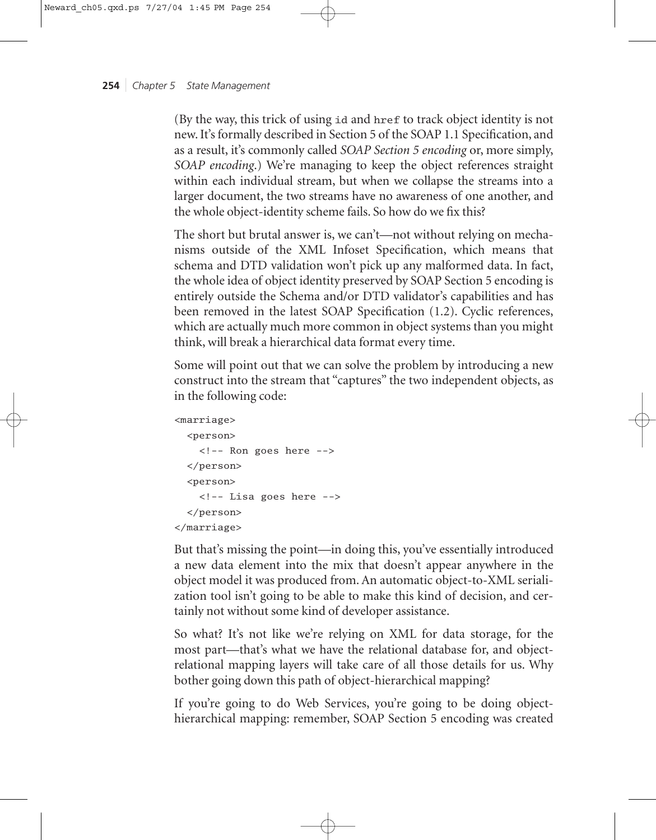(By the way, this trick of using id and href to track object identity is not new. It's formally described in Section 5 of the SOAP 1.1 Specification, and as a result, it's commonly called *SOAP Section 5 encoding* or, more simply, *SOAP encoding*.) We're managing to keep the object references straight within each individual stream, but when we collapse the streams into a larger document, the two streams have no awareness of one another, and the whole object-identity scheme fails. So how do we fix this?

The short but brutal answer is, we can't—not without relying on mechanisms outside of the XML Infoset Specification, which means that schema and DTD validation won't pick up any malformed data. In fact, the whole idea of object identity preserved by SOAP Section 5 encoding is entirely outside the Schema and/or DTD validator's capabilities and has been removed in the latest SOAP Specification (1.2). Cyclic references, which are actually much more common in object systems than you might think, will break a hierarchical data format every time.

Some will point out that we can solve the problem by introducing a new construct into the stream that "captures" the two independent objects, as in the following code:

```
<marriage>
 <person>
    <!-- Ron goes here -->
 </person>
 <person>
    <!-- Lisa goes here -->
 </person>
</marriage>
```
But that's missing the point—in doing this, you've essentially introduced a new data element into the mix that doesn't appear anywhere in the object model it was produced from. An automatic object-to-XML serialization tool isn't going to be able to make this kind of decision, and certainly not without some kind of developer assistance.

So what? It's not like we're relying on XML for data storage, for the most part—that's what we have the relational database for, and objectrelational mapping layers will take care of all those details for us. Why bother going down this path of object-hierarchical mapping?

If you're going to do Web Services, you're going to be doing objecthierarchical mapping: remember, SOAP Section 5 encoding was created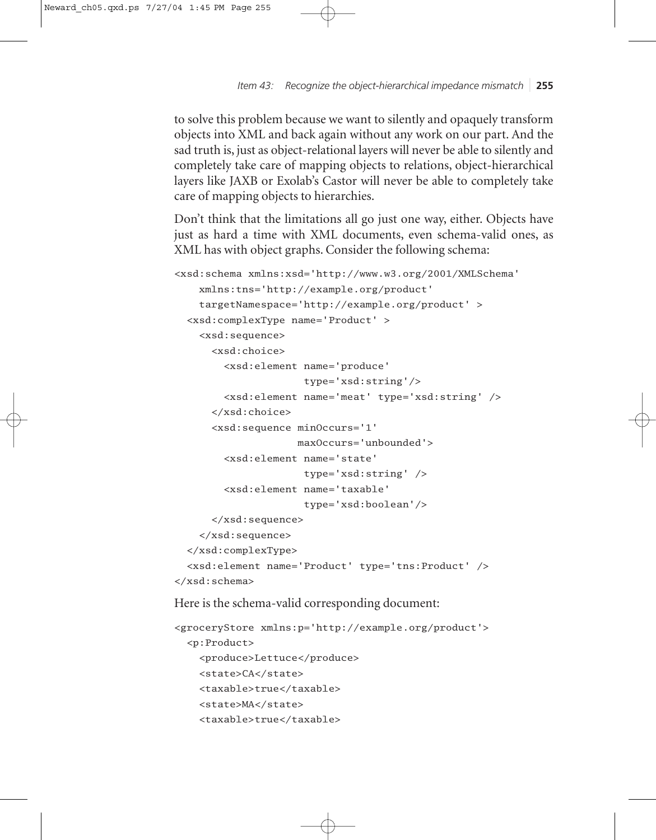*Item 43: Recognize the object-hierarchical impedance mismatch* ❘ **255**

to solve this problem because we want to silently and opaquely transform objects into XML and back again without any work on our part. And the sad truth is, just as object-relational layers will never be able to silently and completely take care of mapping objects to relations, object-hierarchical layers like JAXB or Exolab's Castor will never be able to completely take care of mapping objects to hierarchies.

Don't think that the limitations all go just one way, either. Objects have just as hard a time with XML documents, even schema-valid ones, as XML has with object graphs. Consider the following schema:

```
<xsd:schema xmlns:xsd='http://www.w3.org/2001/XMLSchema'
   xmlns:tns='http://example.org/product'
    targetNamespace='http://example.org/product' >
 <xsd:complexType name='Product' >
    <xsd:sequence>
      <xsd:choice>
        <xsd:element name='produce'
                     type='xsd:string'/>
        <xsd:element name='meat' type='xsd:string' />
      </xsd:choice>
      <xsd:sequence minOccurs='1'
                    maxOccurs='unbounded'>
        <xsd:element name='state' 
                     type='xsd:string' />
        <xsd:element name='taxable'
                     type='xsd:boolean'/>
      </xsd:sequence>
    </xsd:sequence>
 </xsd:complexType>
 <xsd:element name='Product' type='tns:Product' />
</xsd:schema>
```
Here is the schema-valid corresponding document:

```
<groceryStore xmlns:p='http://example.org/product'>
  <p:Product>
    <produce>Lettuce</produce>
    <state>CA</state>
    <taxable>true</taxable>
    <state>MA</state>
    <taxable>true</taxable>
```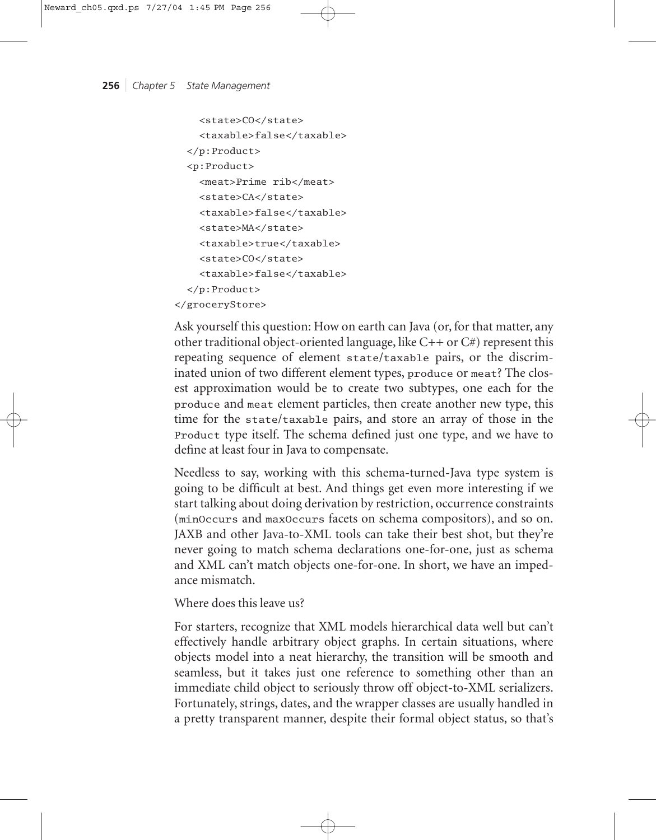```
<state>CO</state>
    <taxable>false</taxable>
 </p:Product>
  <p:Product>
    <meat>Prime rib</meat>
    <state>CA</state>
    <taxable>false</taxable>
    <state>MA</state>
    <taxable>true</taxable>
    <state>CO</state>
    <taxable>false</taxable>
 </p:Product>
</groceryStore>
```
Ask yourself this question: How on earth can Java (or, for that matter, any other traditional object-oriented language, like C++ or C#) represent this repeating sequence of element state/taxable pairs, or the discriminated union of two different element types, produce or meat? The closest approximation would be to create two subtypes, one each for the produce and meat element particles, then create another new type, this time for the state/taxable pairs, and store an array of those in the Product type itself. The schema defined just one type, and we have to define at least four in Java to compensate.

Needless to say, working with this schema-turned-Java type system is going to be difficult at best. And things get even more interesting if we start talking about doing derivation by restriction, occurrence constraints (minOccurs and maxOccurs facets on schema compositors), and so on. JAXB and other Java-to-XML tools can take their best shot, but they're never going to match schema declarations one-for-one, just as schema and XML can't match objects one-for-one. In short, we have an impedance mismatch.

# Where does this leave us?

For starters, recognize that XML models hierarchical data well but can't effectively handle arbitrary object graphs. In certain situations, where objects model into a neat hierarchy, the transition will be smooth and seamless, but it takes just one reference to something other than an immediate child object to seriously throw off object-to-XML serializers. Fortunately, strings, dates, and the wrapper classes are usually handled in a pretty transparent manner, despite their formal object status, so that's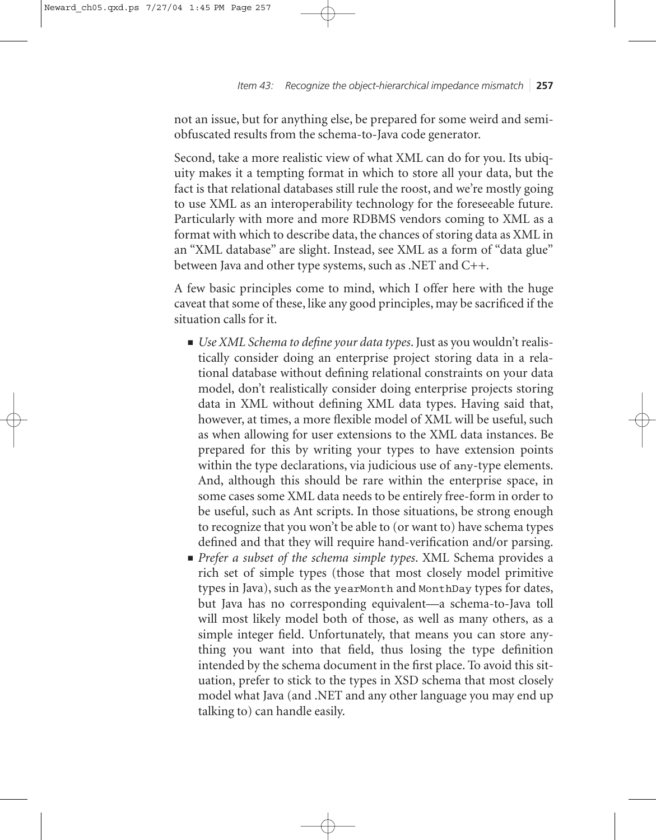*Item 43: Recognize the object-hierarchical impedance mismatch* ❘ **257**

not an issue, but for anything else, be prepared for some weird and semiobfuscated results from the schema-to-Java code generator.

Second, take a more realistic view of what XML can do for you. Its ubiquity makes it a tempting format in which to store all your data, but the fact is that relational databases still rule the roost, and we're mostly going to use XML as an interoperability technology for the foreseeable future. Particularly with more and more RDBMS vendors coming to XML as a format with which to describe data, the chances of storing data as XML in an "XML database" are slight. Instead, see XML as a form of "data glue" between Java and other type systems, such as .NET and C++.

A few basic principles come to mind, which I offer here with the huge caveat that some of these, like any good principles, may be sacrificed if the situation calls for it.

- *Use XML Schema to define your data types*. Just as you wouldn't realistically consider doing an enterprise project storing data in a relational database without defining relational constraints on your data model, don't realistically consider doing enterprise projects storing data in XML without defining XML data types. Having said that, however, at times, a more flexible model of XML will be useful, such as when allowing for user extensions to the XML data instances. Be prepared for this by writing your types to have extension points within the type declarations, via judicious use of any-type elements. And, although this should be rare within the enterprise space, in some cases some XML data needs to be entirely free-form in order to be useful, such as Ant scripts. In those situations, be strong enough to recognize that you won't be able to (or want to) have schema types defined and that they will require hand-verification and/or parsing.
- *Prefer a subset of the schema simple types*. XML Schema provides a rich set of simple types (those that most closely model primitive types in Java), such as the yearMonth and MonthDay types for dates, but Java has no corresponding equivalent—a schema-to-Java toll will most likely model both of those, as well as many others, as a simple integer field. Unfortunately, that means you can store anything you want into that field, thus losing the type definition intended by the schema document in the first place. To avoid this situation, prefer to stick to the types in XSD schema that most closely model what Java (and .NET and any other language you may end up talking to) can handle easily.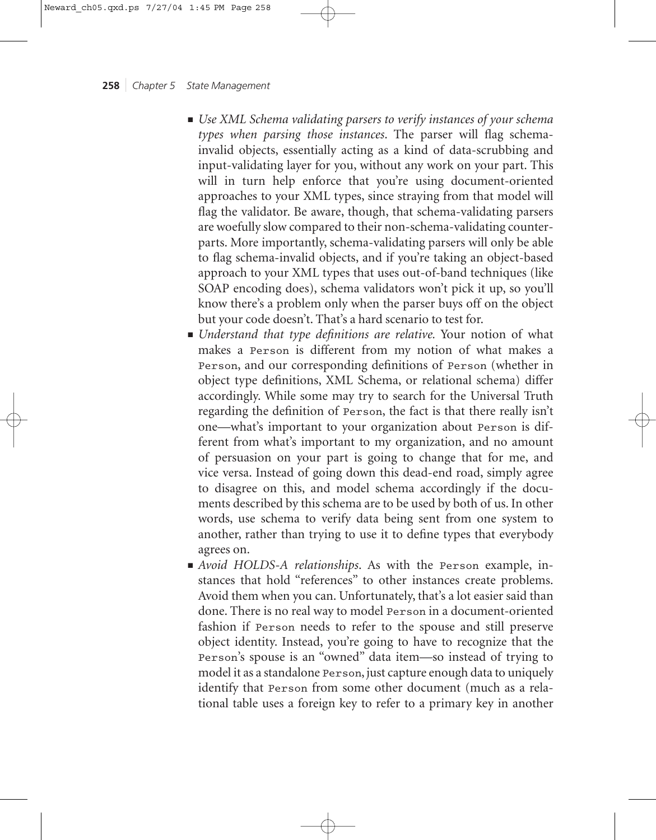- *Use XML Schema validating parsers to verify instances of your schema types when parsing those instances*. The parser will flag schemainvalid objects, essentially acting as a kind of data-scrubbing and input-validating layer for you, without any work on your part. This will in turn help enforce that you're using document-oriented approaches to your XML types, since straying from that model will flag the validator. Be aware, though, that schema-validating parsers are woefully slow compared to their non-schema-validating counterparts. More importantly, schema-validating parsers will only be able to flag schema-invalid objects, and if you're taking an object-based approach to your XML types that uses out-of-band techniques (like SOAP encoding does), schema validators won't pick it up, so you'll know there's a problem only when the parser buys off on the object but your code doesn't. That's a hard scenario to test for.
- *Understand that type definitions are relative.* Your notion of what makes a Person is different from my notion of what makes a Person, and our corresponding definitions of Person (whether in object type definitions, XML Schema, or relational schema) differ accordingly. While some may try to search for the Universal Truth regarding the definition of Person, the fact is that there really isn't one—what's important to your organization about Person is different from what's important to my organization, and no amount of persuasion on your part is going to change that for me, and vice versa. Instead of going down this dead-end road, simply agree to disagree on this, and model schema accordingly if the documents described by this schema are to be used by both of us. In other words, use schema to verify data being sent from one system to another, rather than trying to use it to define types that everybody agrees on.
- *Avoid HOLDS-A relationships*. As with the Person example, instances that hold "references" to other instances create problems. Avoid them when you can. Unfortunately, that's a lot easier said than done. There is no real way to model Person in a document-oriented fashion if Person needs to refer to the spouse and still preserve object identity. Instead, you're going to have to recognize that the Person's spouse is an "owned" data item—so instead of trying to model it as a standalone Person, just capture enough data to uniquely identify that Person from some other document (much as a relational table uses a foreign key to refer to a primary key in another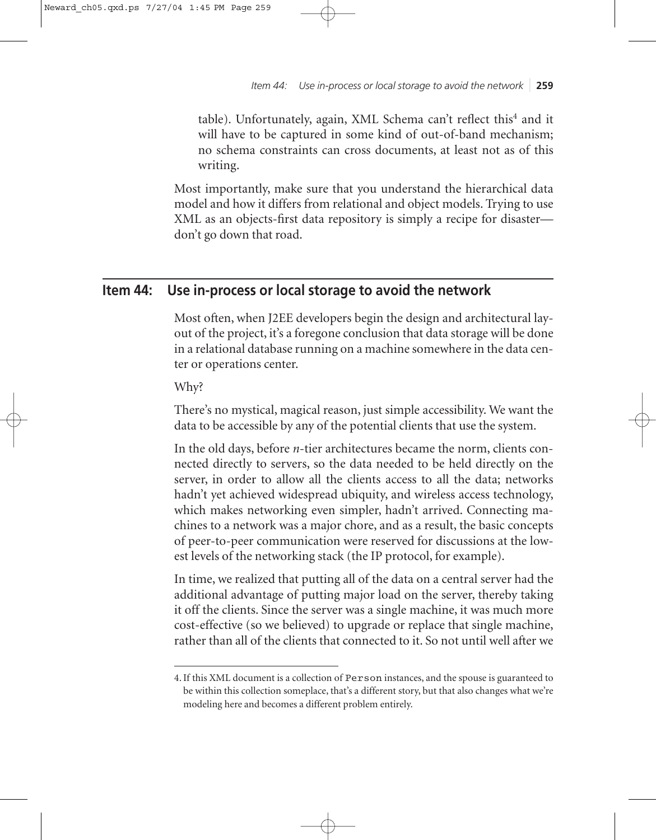*Item 44: Use in-process or local storage to avoid the network* ❘ **259**

table). Unfortunately, again, XML Schema can't reflect this<sup>4</sup> and it will have to be captured in some kind of out-of-band mechanism; no schema constraints can cross documents, at least not as of this writing.

Most importantly, make sure that you understand the hierarchical data model and how it differs from relational and object models. Trying to use XML as an objects-first data repository is simply a recipe for disaster don't go down that road.

# **Item 44: Use in-process or local storage to avoid the network**

Most often, when J2EE developers begin the design and architectural layout of the project, it's a foregone conclusion that data storage will be done in a relational database running on a machine somewhere in the data center or operations center.

Why?

There's no mystical, magical reason, just simple accessibility. We want the data to be accessible by any of the potential clients that use the system.

In the old days, before *n*-tier architectures became the norm, clients connected directly to servers, so the data needed to be held directly on the server, in order to allow all the clients access to all the data; networks hadn't yet achieved widespread ubiquity, and wireless access technology, which makes networking even simpler, hadn't arrived. Connecting machines to a network was a major chore, and as a result, the basic concepts of peer-to-peer communication were reserved for discussions at the lowest levels of the networking stack (the IP protocol, for example).

In time, we realized that putting all of the data on a central server had the additional advantage of putting major load on the server, thereby taking it off the clients. Since the server was a single machine, it was much more cost-effective (so we believed) to upgrade or replace that single machine, rather than all of the clients that connected to it. So not until well after we

<sup>4.</sup> If this XML document is a collection of Person instances, and the spouse is guaranteed to be within this collection someplace, that's a different story, but that also changes what we're modeling here and becomes a different problem entirely.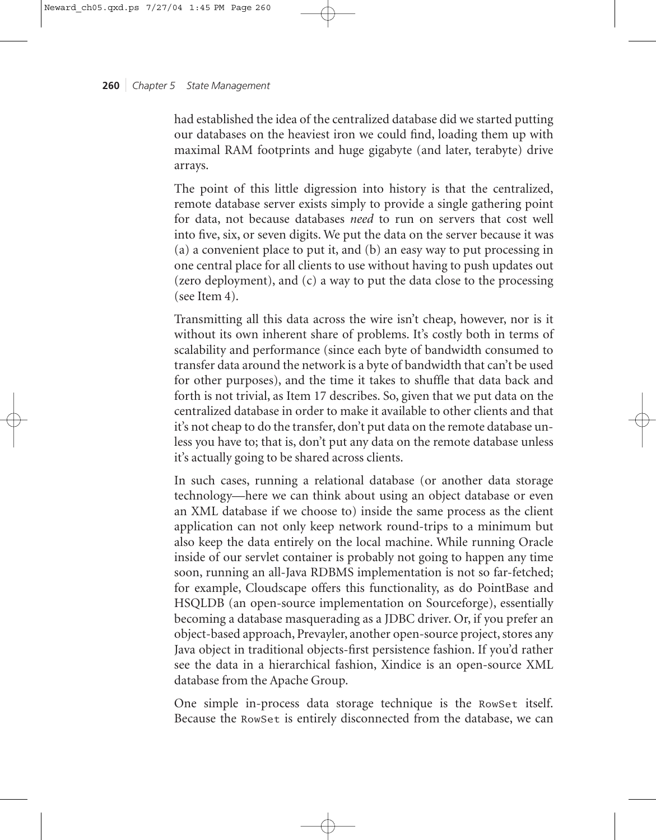had established the idea of the centralized database did we started putting our databases on the heaviest iron we could find, loading them up with maximal RAM footprints and huge gigabyte (and later, terabyte) drive arrays.

The point of this little digression into history is that the centralized, remote database server exists simply to provide a single gathering point for data, not because databases *need* to run on servers that cost well into five, six, or seven digits. We put the data on the server because it was (a) a convenient place to put it, and (b) an easy way to put processing in one central place for all clients to use without having to push updates out (zero deployment), and (c) a way to put the data close to the processing (see Item 4).

Transmitting all this data across the wire isn't cheap, however, nor is it without its own inherent share of problems. It's costly both in terms of scalability and performance (since each byte of bandwidth consumed to transfer data around the network is a byte of bandwidth that can't be used for other purposes), and the time it takes to shuffle that data back and forth is not trivial, as Item 17 describes. So, given that we put data on the centralized database in order to make it available to other clients and that it's not cheap to do the transfer, don't put data on the remote database unless you have to; that is, don't put any data on the remote database unless it's actually going to be shared across clients.

In such cases, running a relational database (or another data storage technology—here we can think about using an object database or even an XML database if we choose to) inside the same process as the client application can not only keep network round-trips to a minimum but also keep the data entirely on the local machine. While running Oracle inside of our servlet container is probably not going to happen any time soon, running an all-Java RDBMS implementation is not so far-fetched; for example, Cloudscape offers this functionality, as do PointBase and HSQLDB (an open-source implementation on Sourceforge), essentially becoming a database masquerading as a JDBC driver. Or, if you prefer an object-based approach, Prevayler, another open-source project, stores any Java object in traditional objects-first persistence fashion. If you'd rather see the data in a hierarchical fashion, Xindice is an open-source XML database from the Apache Group.

One simple in-process data storage technique is the RowSet itself. Because the RowSet is entirely disconnected from the database, we can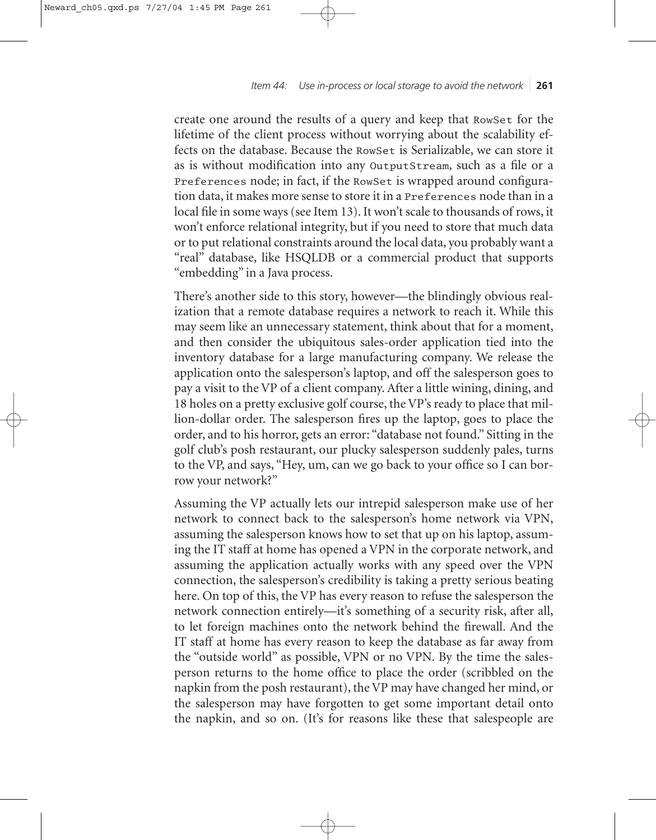create one around the results of a query and keep that RowSet for the lifetime of the client process without worrying about the scalability effects on the database. Because the RowSet is Serializable, we can store it as is without modification into any OutputStream, such as a file or a Preferences node; in fact, if the RowSet is wrapped around configuration data, it makes more sense to store it in a Preferences node than in a local file in some ways (see Item 13). It won't scale to thousands of rows, it won't enforce relational integrity, but if you need to store that much data or to put relational constraints around the local data, you probably want a "real" database, like HSQLDB or a commercial product that supports "embedding" in a Java process.

There's another side to this story, however—the blindingly obvious realization that a remote database requires a network to reach it. While this may seem like an unnecessary statement, think about that for a moment, and then consider the ubiquitous sales-order application tied into the inventory database for a large manufacturing company. We release the application onto the salesperson's laptop, and off the salesperson goes to pay a visit to the VP of a client company. After a little wining, dining, and 18 holes on a pretty exclusive golf course, the VP's ready to place that million-dollar order. The salesperson fires up the laptop, goes to place the order, and to his horror, gets an error: "database not found." Sitting in the golf club's posh restaurant, our plucky salesperson suddenly pales, turns to the VP, and says, "Hey, um, can we go back to your office so I can borrow your network?"

Assuming the VP actually lets our intrepid salesperson make use of her network to connect back to the salesperson's home network via VPN, assuming the salesperson knows how to set that up on his laptop, assuming the IT staff at home has opened a VPN in the corporate network, and assuming the application actually works with any speed over the VPN connection, the salesperson's credibility is taking a pretty serious beating here. On top of this, the VP has every reason to refuse the salesperson the network connection entirely—it's something of a security risk, after all, to let foreign machines onto the network behind the firewall. And the IT staff at home has every reason to keep the database as far away from the "outside world" as possible, VPN or no VPN. By the time the salesperson returns to the home office to place the order (scribbled on the napkin from the posh restaurant), the VP may have changed her mind, or the salesperson may have forgotten to get some important detail onto the napkin, and so on. (It's for reasons like these that salespeople are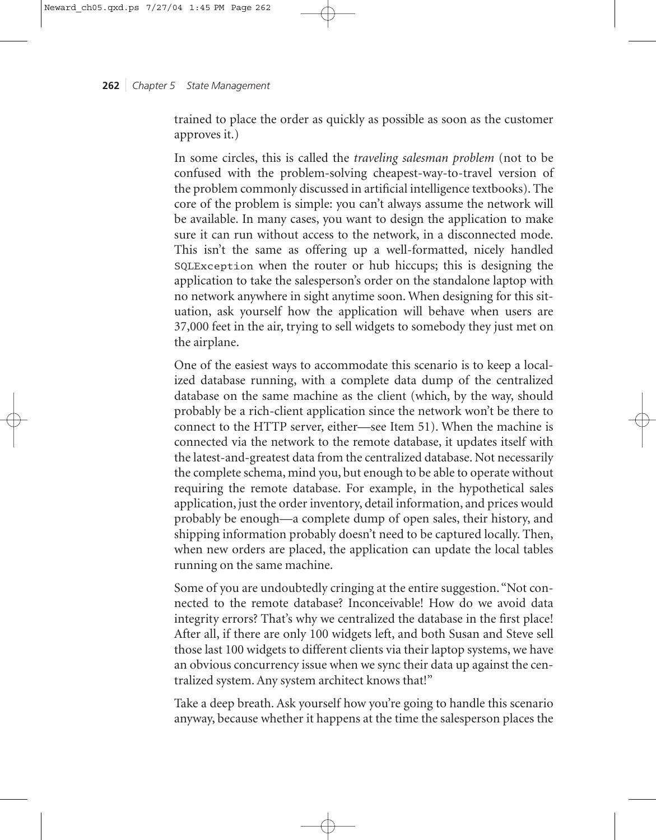trained to place the order as quickly as possible as soon as the customer approves it.)

In some circles, this is called the *traveling salesman problem* (not to be confused with the problem-solving cheapest-way-to-travel version of the problem commonly discussed in artificial intelligence textbooks). The core of the problem is simple: you can't always assume the network will be available. In many cases, you want to design the application to make sure it can run without access to the network, in a disconnected mode. This isn't the same as offering up a well-formatted, nicely handled SQLException when the router or hub hiccups; this is designing the application to take the salesperson's order on the standalone laptop with no network anywhere in sight anytime soon. When designing for this situation, ask yourself how the application will behave when users are 37,000 feet in the air, trying to sell widgets to somebody they just met on the airplane.

One of the easiest ways to accommodate this scenario is to keep a localized database running, with a complete data dump of the centralized database on the same machine as the client (which, by the way, should probably be a rich-client application since the network won't be there to connect to the HTTP server, either—see Item 51). When the machine is connected via the network to the remote database, it updates itself with the latest-and-greatest data from the centralized database. Not necessarily the complete schema, mind you, but enough to be able to operate without requiring the remote database. For example, in the hypothetical sales application, just the order inventory, detail information, and prices would probably be enough—a complete dump of open sales, their history, and shipping information probably doesn't need to be captured locally. Then, when new orders are placed, the application can update the local tables running on the same machine.

Some of you are undoubtedly cringing at the entire suggestion."Not connected to the remote database? Inconceivable! How do we avoid data integrity errors? That's why we centralized the database in the first place! After all, if there are only 100 widgets left, and both Susan and Steve sell those last 100 widgets to different clients via their laptop systems, we have an obvious concurrency issue when we sync their data up against the centralized system. Any system architect knows that!"

Take a deep breath. Ask yourself how you're going to handle this scenario anyway, because whether it happens at the time the salesperson places the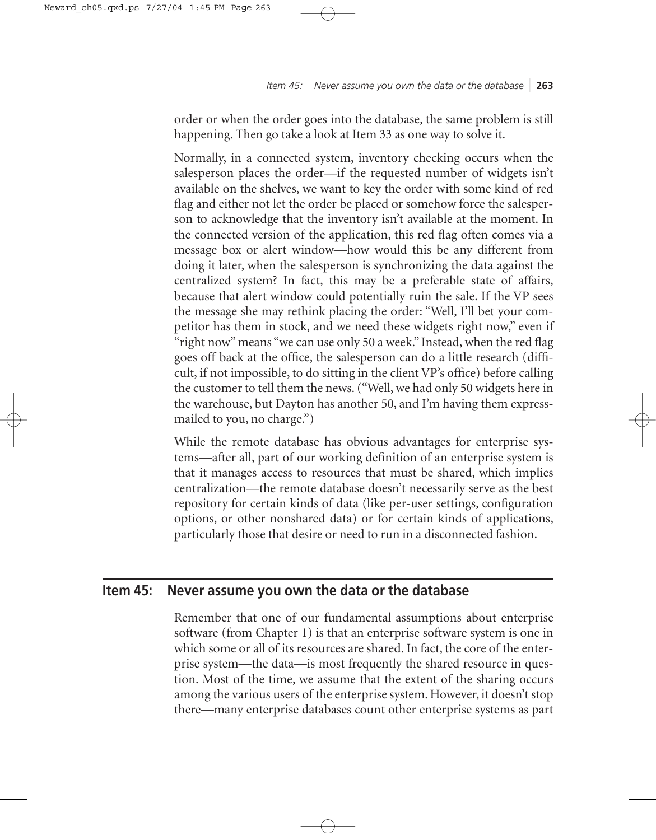order or when the order goes into the database, the same problem is still happening. Then go take a look at Item 33 as one way to solve it.

Normally, in a connected system, inventory checking occurs when the salesperson places the order—if the requested number of widgets isn't available on the shelves, we want to key the order with some kind of red flag and either not let the order be placed or somehow force the salesperson to acknowledge that the inventory isn't available at the moment. In the connected version of the application, this red flag often comes via a message box or alert window—how would this be any different from doing it later, when the salesperson is synchronizing the data against the centralized system? In fact, this may be a preferable state of affairs, because that alert window could potentially ruin the sale. If the VP sees the message she may rethink placing the order: "Well, I'll bet your competitor has them in stock, and we need these widgets right now," even if "right now" means "we can use only 50 a week." Instead, when the red flag goes off back at the office, the salesperson can do a little research (difficult, if not impossible, to do sitting in the client VP's office) before calling the customer to tell them the news. ("Well, we had only 50 widgets here in the warehouse, but Dayton has another 50, and I'm having them expressmailed to you, no charge.")

While the remote database has obvious advantages for enterprise systems—after all, part of our working definition of an enterprise system is that it manages access to resources that must be shared, which implies centralization—the remote database doesn't necessarily serve as the best repository for certain kinds of data (like per-user settings, configuration options, or other nonshared data) or for certain kinds of applications, particularly those that desire or need to run in a disconnected fashion.

# **Item 45: Never assume you own the data or the database**

Remember that one of our fundamental assumptions about enterprise software (from Chapter 1) is that an enterprise software system is one in which some or all of its resources are shared. In fact, the core of the enterprise system—the data—is most frequently the shared resource in question. Most of the time, we assume that the extent of the sharing occurs among the various users of the enterprise system. However, it doesn't stop there—many enterprise databases count other enterprise systems as part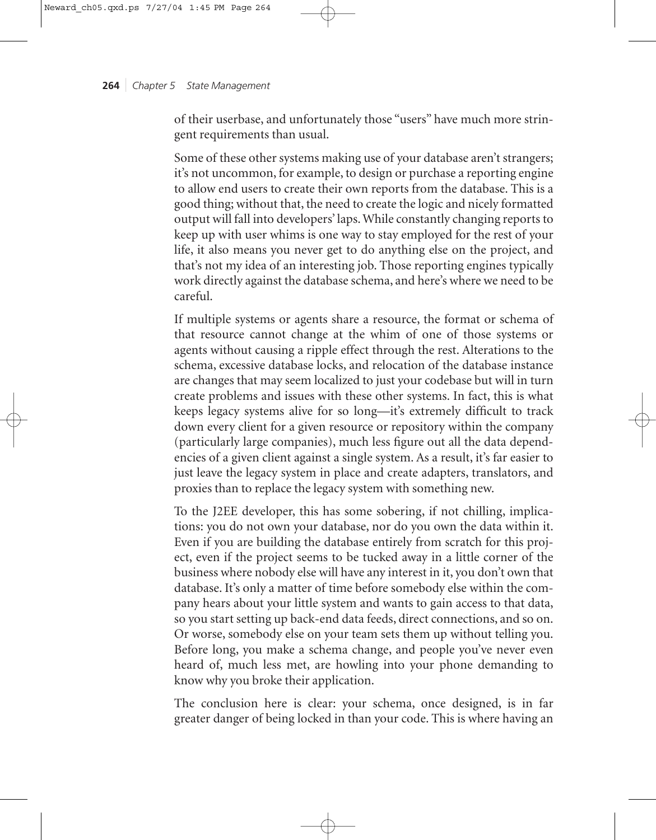of their userbase, and unfortunately those "users" have much more stringent requirements than usual.

Some of these other systems making use of your database aren't strangers; it's not uncommon, for example, to design or purchase a reporting engine to allow end users to create their own reports from the database. This is a good thing; without that, the need to create the logic and nicely formatted output will fall into developers' laps. While constantly changing reports to keep up with user whims is one way to stay employed for the rest of your life, it also means you never get to do anything else on the project, and that's not my idea of an interesting job. Those reporting engines typically work directly against the database schema, and here's where we need to be careful.

If multiple systems or agents share a resource, the format or schema of that resource cannot change at the whim of one of those systems or agents without causing a ripple effect through the rest. Alterations to the schema, excessive database locks, and relocation of the database instance are changes that may seem localized to just your codebase but will in turn create problems and issues with these other systems. In fact, this is what keeps legacy systems alive for so long—it's extremely difficult to track down every client for a given resource or repository within the company (particularly large companies), much less figure out all the data dependencies of a given client against a single system. As a result, it's far easier to just leave the legacy system in place and create adapters, translators, and proxies than to replace the legacy system with something new.

To the J2EE developer, this has some sobering, if not chilling, implications: you do not own your database, nor do you own the data within it. Even if you are building the database entirely from scratch for this project, even if the project seems to be tucked away in a little corner of the business where nobody else will have any interest in it, you don't own that database. It's only a matter of time before somebody else within the company hears about your little system and wants to gain access to that data, so you start setting up back-end data feeds, direct connections, and so on. Or worse, somebody else on your team sets them up without telling you. Before long, you make a schema change, and people you've never even heard of, much less met, are howling into your phone demanding to know why you broke their application.

The conclusion here is clear: your schema, once designed, is in far greater danger of being locked in than your code. This is where having an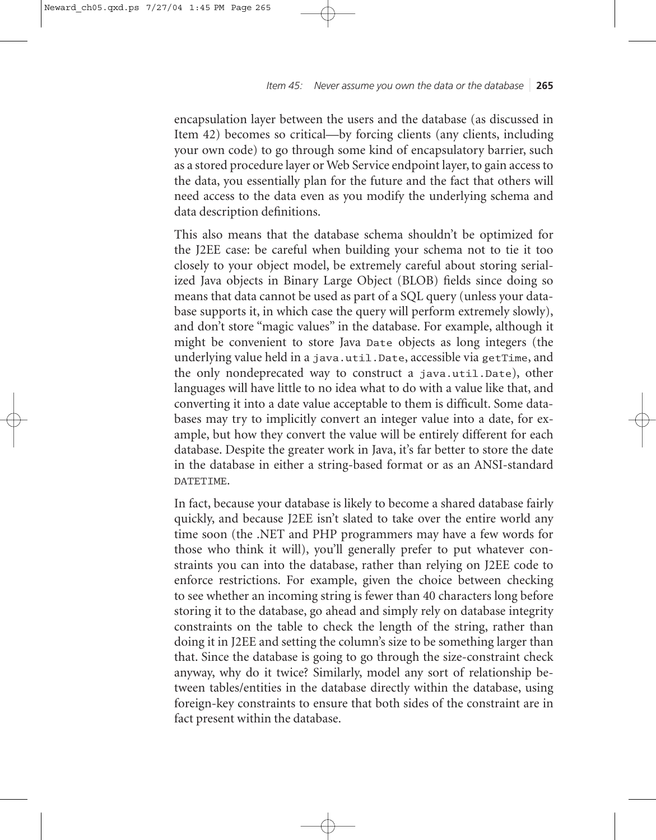encapsulation layer between the users and the database (as discussed in Item 42) becomes so critical—by forcing clients (any clients, including your own code) to go through some kind of encapsulatory barrier, such as a stored procedure layer or Web Service endpoint layer, to gain access to the data, you essentially plan for the future and the fact that others will need access to the data even as you modify the underlying schema and data description definitions.

This also means that the database schema shouldn't be optimized for the J2EE case: be careful when building your schema not to tie it too closely to your object model, be extremely careful about storing serialized Java objects in Binary Large Object (BLOB) fields since doing so means that data cannot be used as part of a SQL query (unless your database supports it, in which case the query will perform extremely slowly), and don't store "magic values" in the database. For example, although it might be convenient to store Java Date objects as long integers (the underlying value held in a java.util.Date, accessible via getTime, and the only nondeprecated way to construct a java.util.Date), other languages will have little to no idea what to do with a value like that, and converting it into a date value acceptable to them is difficult. Some databases may try to implicitly convert an integer value into a date, for example, but how they convert the value will be entirely different for each database. Despite the greater work in Java, it's far better to store the date in the database in either a string-based format or as an ANSI-standard DATETIME.

In fact, because your database is likely to become a shared database fairly quickly, and because J2EE isn't slated to take over the entire world any time soon (the .NET and PHP programmers may have a few words for those who think it will), you'll generally prefer to put whatever constraints you can into the database, rather than relying on J2EE code to enforce restrictions. For example, given the choice between checking to see whether an incoming string is fewer than 40 characters long before storing it to the database, go ahead and simply rely on database integrity constraints on the table to check the length of the string, rather than doing it in J2EE and setting the column's size to be something larger than that. Since the database is going to go through the size-constraint check anyway, why do it twice? Similarly, model any sort of relationship between tables/entities in the database directly within the database, using foreign-key constraints to ensure that both sides of the constraint are in fact present within the database.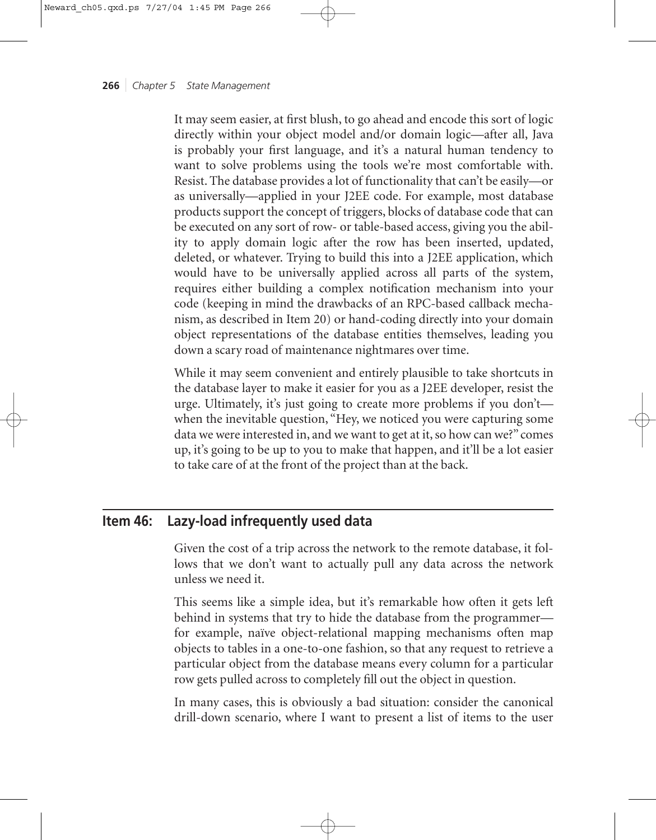It may seem easier, at first blush, to go ahead and encode this sort of logic directly within your object model and/or domain logic—after all, Java is probably your first language, and it's a natural human tendency to want to solve problems using the tools we're most comfortable with. Resist. The database provides a lot of functionality that can't be easily—or as universally—applied in your J2EE code. For example, most database products support the concept of triggers, blocks of database code that can be executed on any sort of row- or table-based access, giving you the ability to apply domain logic after the row has been inserted, updated, deleted, or whatever. Trying to build this into a J2EE application, which would have to be universally applied across all parts of the system, requires either building a complex notification mechanism into your code (keeping in mind the drawbacks of an RPC-based callback mechanism, as described in Item 20) or hand-coding directly into your domain object representations of the database entities themselves, leading you down a scary road of maintenance nightmares over time.

While it may seem convenient and entirely plausible to take shortcuts in the database layer to make it easier for you as a J2EE developer, resist the urge. Ultimately, it's just going to create more problems if you don't when the inevitable question, "Hey, we noticed you were capturing some data we were interested in, and we want to get at it, so how can we?" comes up, it's going to be up to you to make that happen, and it'll be a lot easier to take care of at the front of the project than at the back.

# **Item 46: Lazy-load infrequently used data**

Given the cost of a trip across the network to the remote database, it follows that we don't want to actually pull any data across the network unless we need it.

This seems like a simple idea, but it's remarkable how often it gets left behind in systems that try to hide the database from the programmer for example, naïve object-relational mapping mechanisms often map objects to tables in a one-to-one fashion, so that any request to retrieve a particular object from the database means every column for a particular row gets pulled across to completely fill out the object in question.

In many cases, this is obviously a bad situation: consider the canonical drill-down scenario, where I want to present a list of items to the user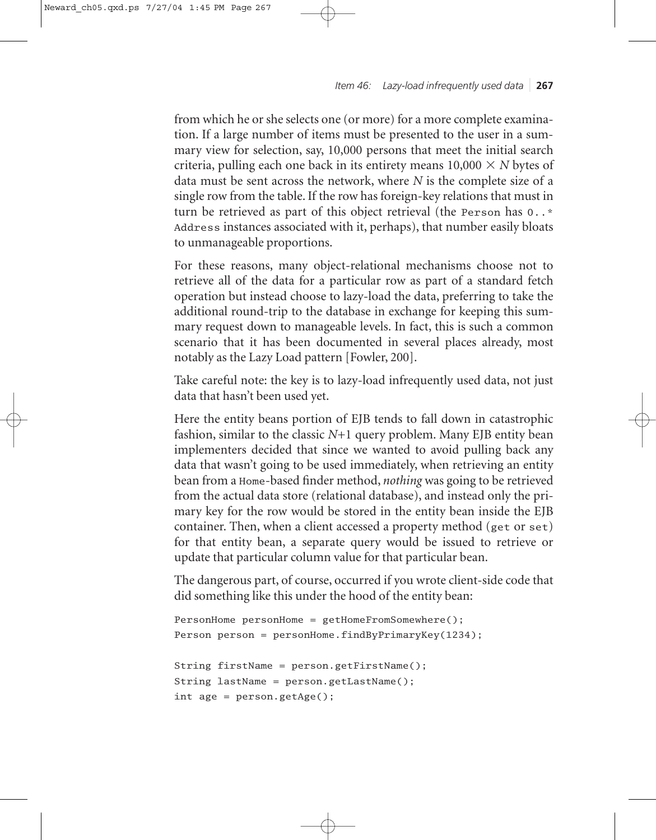*Item 46: Lazy-load infrequently used data* ❘ **267**

from which he or she selects one (or more) for a more complete examination. If a large number of items must be presented to the user in a summary view for selection, say, 10,000 persons that meet the initial search criteria, pulling each one back in its entirety means  $10,\!000 \times N$  bytes of data must be sent across the network, where *N* is the complete size of a single row from the table. If the row has foreign-key relations that must in turn be retrieved as part of this object retrieval (the Person has 0..\* Address instances associated with it, perhaps), that number easily bloats to unmanageable proportions.

For these reasons, many object-relational mechanisms choose not to retrieve all of the data for a particular row as part of a standard fetch operation but instead choose to lazy-load the data, preferring to take the additional round-trip to the database in exchange for keeping this summary request down to manageable levels. In fact, this is such a common scenario that it has been documented in several places already, most notably as the Lazy Load pattern [Fowler, 200].

Take careful note: the key is to lazy-load infrequently used data, not just data that hasn't been used yet.

Here the entity beans portion of EJB tends to fall down in catastrophic fashion, similar to the classic *N*+1 query problem. Many EJB entity bean implementers decided that since we wanted to avoid pulling back any data that wasn't going to be used immediately, when retrieving an entity bean from a Home-based finder method, *nothing* was going to be retrieved from the actual data store (relational database), and instead only the primary key for the row would be stored in the entity bean inside the EJB container. Then, when a client accessed a property method (get or set) for that entity bean, a separate query would be issued to retrieve or update that particular column value for that particular bean.

The dangerous part, of course, occurred if you wrote client-side code that did something like this under the hood of the entity bean:

```
PersonHome personHome = getHomeFromSomewhere();
Person person = personHome.findByPrimaryKey(1234);
String firstName = person.getFirstName();
String lastName = person.getLastName();
int age = person.getAge();
```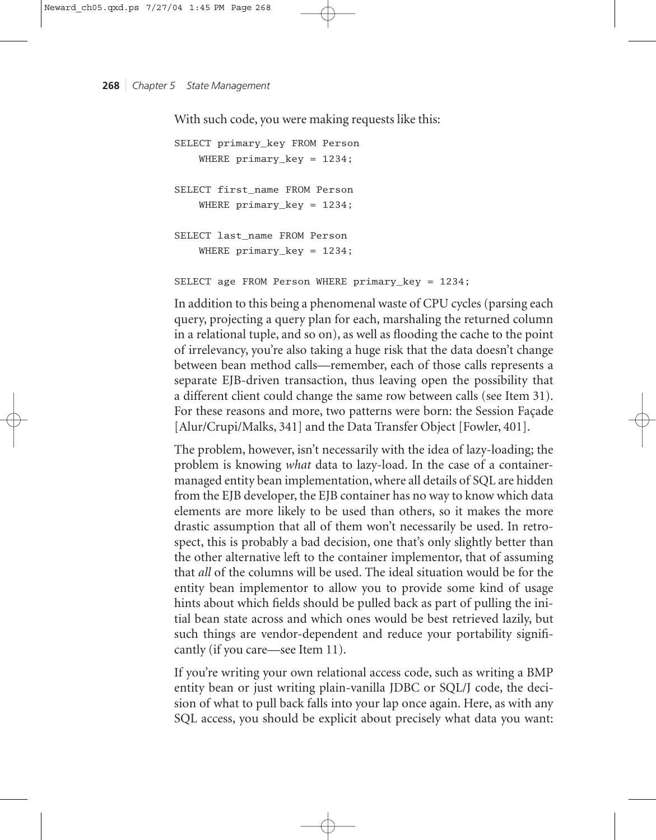With such code, you were making requests like this:

SELECT primary\_key FROM Person WHERE primary\_key = 1234; SELECT first\_name FROM Person WHERE primary\_key = 1234; SELECT last\_name FROM Person WHERE primary\_key = 1234;

SELECT age FROM Person WHERE primary\_key = 1234;

In addition to this being a phenomenal waste of CPU cycles (parsing each query, projecting a query plan for each, marshaling the returned column in a relational tuple, and so on), as well as flooding the cache to the point of irrelevancy, you're also taking a huge risk that the data doesn't change between bean method calls—remember, each of those calls represents a separate EJB-driven transaction, thus leaving open the possibility that a different client could change the same row between calls (see Item 31). For these reasons and more, two patterns were born: the Session Façade [Alur/Crupi/Malks, 341] and the Data Transfer Object [Fowler, 401].

The problem, however, isn't necessarily with the idea of lazy-loading; the problem is knowing *what* data to lazy-load. In the case of a containermanaged entity bean implementation, where all details of SQL are hidden from the EJB developer, the EJB container has no way to know which data elements are more likely to be used than others, so it makes the more drastic assumption that all of them won't necessarily be used. In retrospect, this is probably a bad decision, one that's only slightly better than the other alternative left to the container implementor, that of assuming that *all* of the columns will be used. The ideal situation would be for the entity bean implementor to allow you to provide some kind of usage hints about which fields should be pulled back as part of pulling the initial bean state across and which ones would be best retrieved lazily, but such things are vendor-dependent and reduce your portability significantly (if you care—see Item 11).

If you're writing your own relational access code, such as writing a BMP entity bean or just writing plain-vanilla JDBC or SQL/J code, the decision of what to pull back falls into your lap once again. Here, as with any SQL access, you should be explicit about precisely what data you want: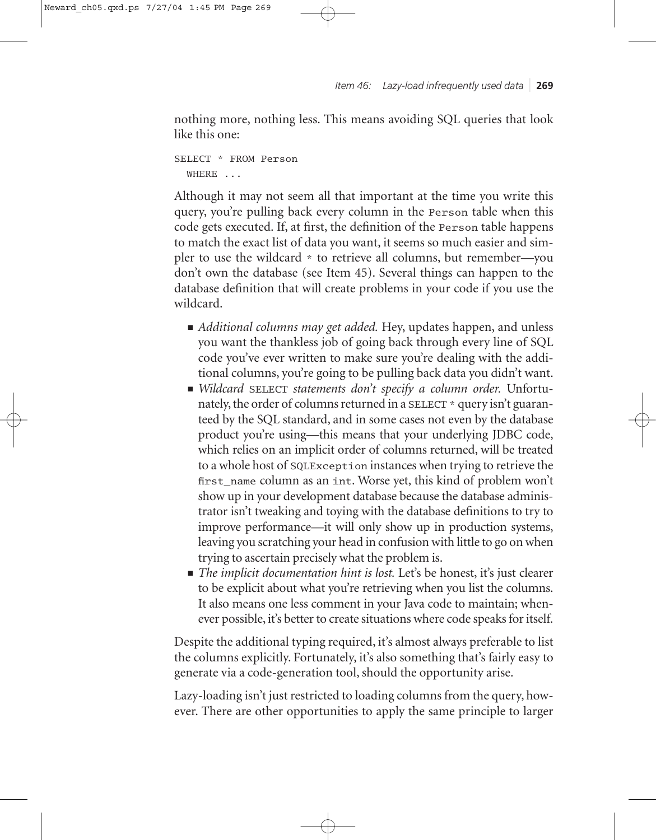nothing more, nothing less. This means avoiding SQL queries that look like this one:

SELECT \* FROM Person WHERE ...

Although it may not seem all that important at the time you write this query, you're pulling back every column in the Person table when this code gets executed. If, at first, the definition of the Person table happens to match the exact list of data you want, it seems so much easier and simpler to use the wildcard \* to retrieve all columns, but remember—you don't own the database (see Item 45). Several things can happen to the database definition that will create problems in your code if you use the wildcard.

- *Additional columns may get added*. Hey, updates happen, and unless you want the thankless job of going back through every line of SQL code you've ever written to make sure you're dealing with the additional columns, you're going to be pulling back data you didn't want.
- *Wildcard* SELECT *statements don't specify a column order.* Unfortunately, the order of columns returned in a SELECT \* query isn't guaranteed by the SQL standard, and in some cases not even by the database product you're using—this means that your underlying JDBC code, which relies on an implicit order of columns returned, will be treated to a whole host of SQLException instances when trying to retrieve the first\_name column as an int. Worse yet, this kind of problem won't show up in your development database because the database administrator isn't tweaking and toying with the database definitions to try to improve performance—it will only show up in production systems, leaving you scratching your head in confusion with little to go on when trying to ascertain precisely what the problem is.
- *The implicit documentation hint is lost*. Let's be honest, it's just clearer to be explicit about what you're retrieving when you list the columns. It also means one less comment in your Java code to maintain; whenever possible, it's better to create situations where code speaks for itself.

Despite the additional typing required, it's almost always preferable to list the columns explicitly. Fortunately, it's also something that's fairly easy to generate via a code-generation tool, should the opportunity arise.

Lazy-loading isn't just restricted to loading columns from the query, however. There are other opportunities to apply the same principle to larger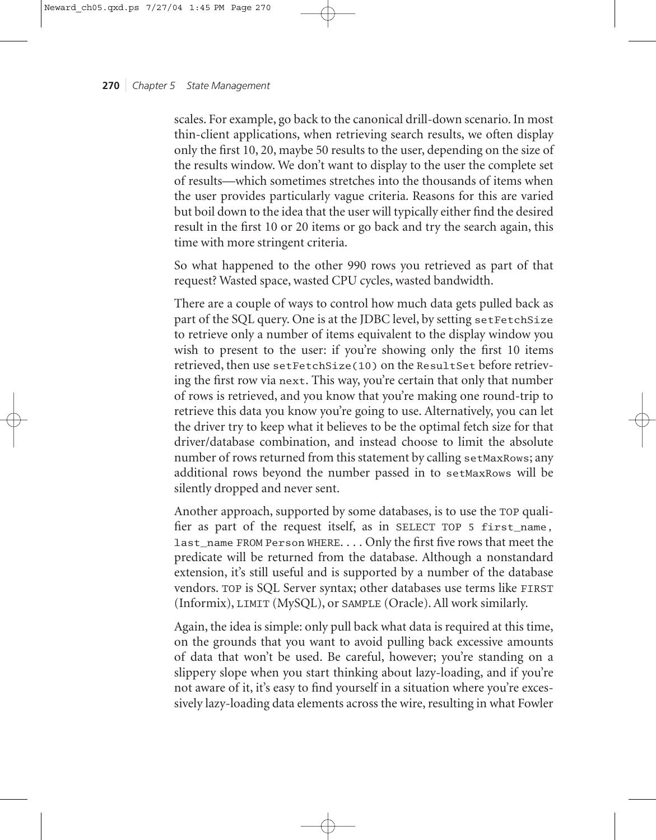scales. For example, go back to the canonical drill-down scenario. In most thin-client applications, when retrieving search results, we often display only the first 10, 20, maybe 50 results to the user, depending on the size of the results window. We don't want to display to the user the complete set of results—which sometimes stretches into the thousands of items when the user provides particularly vague criteria. Reasons for this are varied but boil down to the idea that the user will typically either find the desired result in the first 10 or 20 items or go back and try the search again, this time with more stringent criteria.

So what happened to the other 990 rows you retrieved as part of that request? Wasted space, wasted CPU cycles, wasted bandwidth.

There are a couple of ways to control how much data gets pulled back as part of the SQL query. One is at the JDBC level, by setting setFetchSize to retrieve only a number of items equivalent to the display window you wish to present to the user: if you're showing only the first 10 items retrieved, then use setFetchSize(10) on the ResultSet before retrieving the first row via next. This way, you're certain that only that number of rows is retrieved, and you know that you're making one round-trip to retrieve this data you know you're going to use. Alternatively, you can let the driver try to keep what it believes to be the optimal fetch size for that driver/database combination, and instead choose to limit the absolute number of rows returned from this statement by calling setMaxRows; any additional rows beyond the number passed in to setMaxRows will be silently dropped and never sent.

Another approach, supported by some databases, is to use the TOP qualifier as part of the request itself, as in SELECT TOP 5 first\_name, last\_name FROM Person WHERE. . . . Only the first five rows that meet the predicate will be returned from the database. Although a nonstandard extension, it's still useful and is supported by a number of the database vendors. TOP is SQL Server syntax; other databases use terms like FIRST (Informix), LIMIT (MySQL), or SAMPLE (Oracle). All work similarly.

Again, the idea is simple: only pull back what data is required at this time, on the grounds that you want to avoid pulling back excessive amounts of data that won't be used. Be careful, however; you're standing on a slippery slope when you start thinking about lazy-loading, and if you're not aware of it, it's easy to find yourself in a situation where you're excessively lazy-loading data elements across the wire, resulting in what Fowler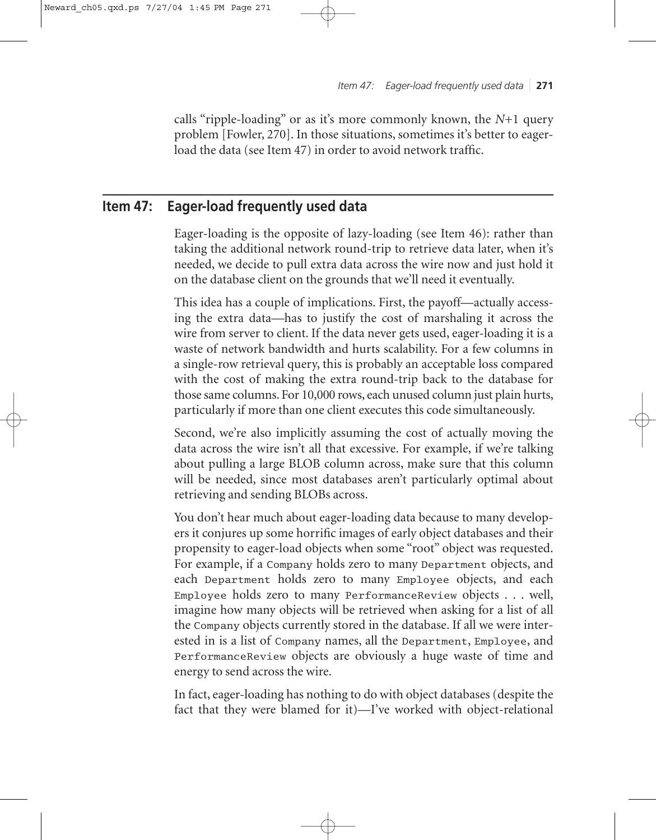calls "ripple-loading" or as it's more commonly known, the *N*+1 query problem [Fowler, 270]. In those situations, sometimes it's better to eagerload the data (see Item 47) in order to avoid network traffic.

# **Item 47: Eager-load frequently used data**

Eager-loading is the opposite of lazy-loading (see Item 46): rather than taking the additional network round-trip to retrieve data later, when it's needed, we decide to pull extra data across the wire now and just hold it on the database client on the grounds that we'll need it eventually.

This idea has a couple of implications. First, the payoff—actually accessing the extra data—has to justify the cost of marshaling it across the wire from server to client. If the data never gets used, eager-loading it is a waste of network bandwidth and hurts scalability. For a few columns in a single-row retrieval query, this is probably an acceptable loss compared with the cost of making the extra round-trip back to the database for those same columns. For 10,000 rows, each unused column just plain hurts, particularly if more than one client executes this code simultaneously.

Second, we're also implicitly assuming the cost of actually moving the data across the wire isn't all that excessive. For example, if we're talking about pulling a large BLOB column across, make sure that this column will be needed, since most databases aren't particularly optimal about retrieving and sending BLOBs across.

You don't hear much about eager-loading data because to many developers it conjures up some horrific images of early object databases and their propensity to eager-load objects when some "root" object was requested. For example, if a Company holds zero to many Department objects, and each Department holds zero to many Employee objects, and each Employee holds zero to many PerformanceReview objects . . . well, imagine how many objects will be retrieved when asking for a list of all the Company objects currently stored in the database. If all we were interested in is a list of Company names, all the Department, Employee, and PerformanceReview objects are obviously a huge waste of time and energy to send across the wire.

In fact, eager-loading has nothing to do with object databases (despite the fact that they were blamed for it)—I've worked with object-relational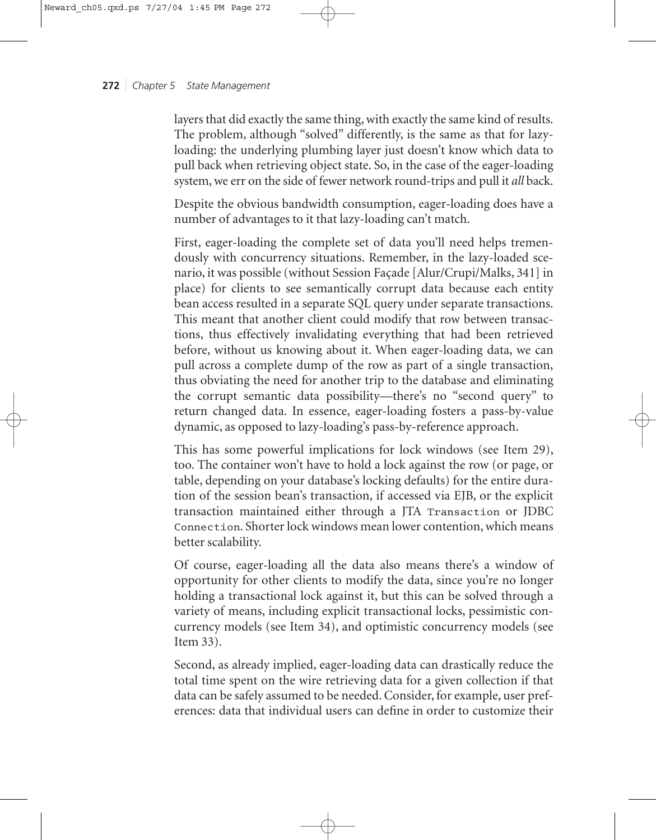layers that did exactly the same thing, with exactly the same kind of results. The problem, although "solved" differently, is the same as that for lazyloading: the underlying plumbing layer just doesn't know which data to pull back when retrieving object state. So, in the case of the eager-loading system, we err on the side of fewer network round-trips and pull it *all* back.

Despite the obvious bandwidth consumption, eager-loading does have a number of advantages to it that lazy-loading can't match.

First, eager-loading the complete set of data you'll need helps tremendously with concurrency situations. Remember, in the lazy-loaded scenario, it was possible (without Session Façade [Alur/Crupi/Malks, 341] in place) for clients to see semantically corrupt data because each entity bean access resulted in a separate SQL query under separate transactions. This meant that another client could modify that row between transactions, thus effectively invalidating everything that had been retrieved before, without us knowing about it. When eager-loading data, we can pull across a complete dump of the row as part of a single transaction, thus obviating the need for another trip to the database and eliminating the corrupt semantic data possibility—there's no "second query" to return changed data. In essence, eager-loading fosters a pass-by-value dynamic, as opposed to lazy-loading's pass-by-reference approach.

This has some powerful implications for lock windows (see Item 29), too. The container won't have to hold a lock against the row (or page, or table, depending on your database's locking defaults) for the entire duration of the session bean's transaction, if accessed via EJB, or the explicit transaction maintained either through a JTA Transaction or JDBC Connection. Shorter lock windows mean lower contention, which means better scalability.

Of course, eager-loading all the data also means there's a window of opportunity for other clients to modify the data, since you're no longer holding a transactional lock against it, but this can be solved through a variety of means, including explicit transactional locks, pessimistic concurrency models (see Item 34), and optimistic concurrency models (see Item 33).

Second, as already implied, eager-loading data can drastically reduce the total time spent on the wire retrieving data for a given collection if that data can be safely assumed to be needed. Consider, for example, user preferences: data that individual users can define in order to customize their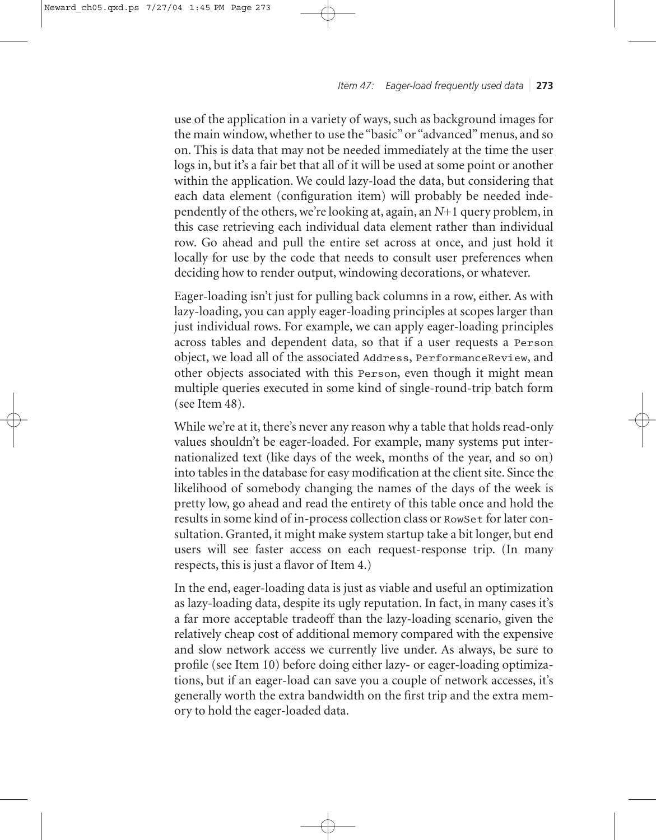*Item 47: Eager-load frequently used data* ❘ **273**

use of the application in a variety of ways, such as background images for the main window, whether to use the "basic" or "advanced" menus, and so on. This is data that may not be needed immediately at the time the user logs in, but it's a fair bet that all of it will be used at some point or another within the application. We could lazy-load the data, but considering that each data element (configuration item) will probably be needed independently of the others, we're looking at, again, an *N*+1 query problem, in this case retrieving each individual data element rather than individual row. Go ahead and pull the entire set across at once, and just hold it locally for use by the code that needs to consult user preferences when deciding how to render output, windowing decorations, or whatever.

Eager-loading isn't just for pulling back columns in a row, either. As with lazy-loading, you can apply eager-loading principles at scopes larger than just individual rows. For example, we can apply eager-loading principles across tables and dependent data, so that if a user requests a Person object, we load all of the associated Address, PerformanceReview, and other objects associated with this Person, even though it might mean multiple queries executed in some kind of single-round-trip batch form (see Item 48).

While we're at it, there's never any reason why a table that holds read-only values shouldn't be eager-loaded. For example, many systems put internationalized text (like days of the week, months of the year, and so on) into tables in the database for easy modification at the client site. Since the likelihood of somebody changing the names of the days of the week is pretty low, go ahead and read the entirety of this table once and hold the results in some kind of in-process collection class or RowSet for later consultation. Granted, it might make system startup take a bit longer, but end users will see faster access on each request-response trip. (In many respects, this is just a flavor of Item 4.)

In the end, eager-loading data is just as viable and useful an optimization as lazy-loading data, despite its ugly reputation. In fact, in many cases it's a far more acceptable tradeoff than the lazy-loading scenario, given the relatively cheap cost of additional memory compared with the expensive and slow network access we currently live under. As always, be sure to profile (see Item 10) before doing either lazy- or eager-loading optimizations, but if an eager-load can save you a couple of network accesses, it's generally worth the extra bandwidth on the first trip and the extra memory to hold the eager-loaded data.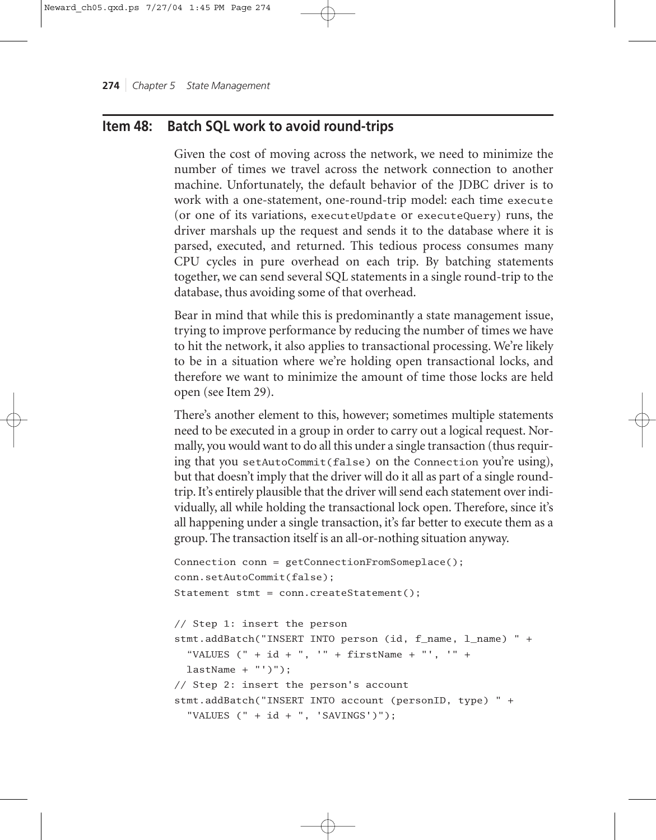# **Item 48: Batch SQL work to avoid round-trips**

Given the cost of moving across the network, we need to minimize the number of times we travel across the network connection to another machine. Unfortunately, the default behavior of the JDBC driver is to work with a one-statement, one-round-trip model: each time execute (or one of its variations, executeUpdate or executeQuery) runs, the driver marshals up the request and sends it to the database where it is parsed, executed, and returned. This tedious process consumes many CPU cycles in pure overhead on each trip. By batching statements together, we can send several SQL statements in a single round-trip to the database, thus avoiding some of that overhead.

Bear in mind that while this is predominantly a state management issue, trying to improve performance by reducing the number of times we have to hit the network, it also applies to transactional processing. We're likely to be in a situation where we're holding open transactional locks, and therefore we want to minimize the amount of time those locks are held open (see Item 29).

There's another element to this, however; sometimes multiple statements need to be executed in a group in order to carry out a logical request. Normally, you would want to do all this under a single transaction (thus requiring that you setAutoCommit(false) on the Connection you're using), but that doesn't imply that the driver will do it all as part of a single roundtrip. It's entirely plausible that the driver will send each statement over individually, all while holding the transactional lock open. Therefore, since it's all happening under a single transaction, it's far better to execute them as a group. The transaction itself is an all-or-nothing situation anyway.

```
Connection conn = getConnectionFromSomeplace();
conn.setAutoCommit(false);
Statement stmt = conn.createStatement();
// Step 1: insert the person
stmt.addBatch("INSERT INTO person (id, f_name, l_name) " +
  "VALUES (" + id + ", " + firstName + ". " , " + ...lastName + "')");
// Step 2: insert the person's account
stmt.addBatch("INSERT INTO account (personID, type) " +
  "VALUES (" + id + ", 'SAVINGS')");
```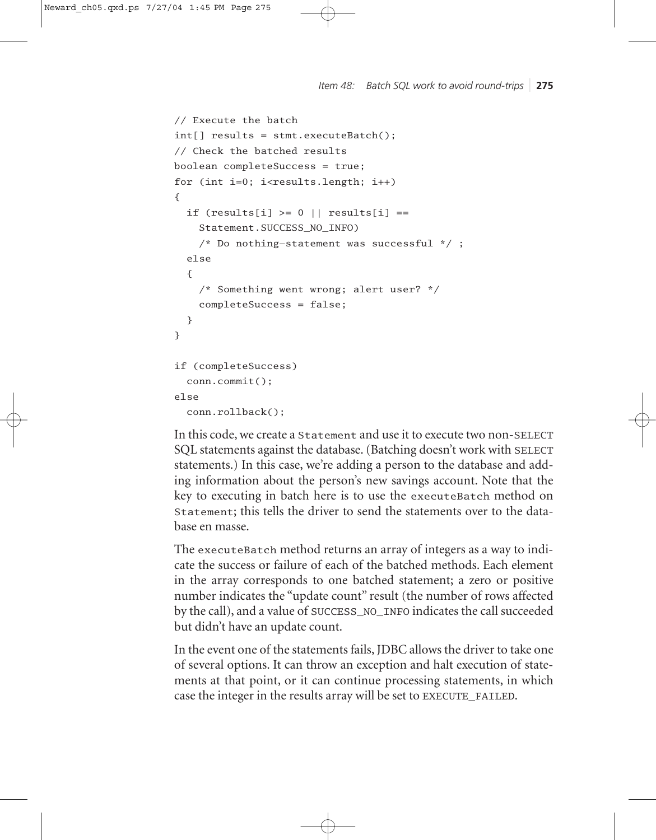*Item 48: Batch SQL work to avoid round-trips* ❘ **275**

```
// Execute the batch
int[] results = stmt.executeBatch();
// Check the batched results
boolean completeSuccess = true;
for (int i=0; i < results. length; i++){
  if (results[i] >= 0 || results[i] ==
    Statement.SUCCESS_NO_INFO)
    /* Do nothing—statement was successful */ ;
  else
  {
    /* Something went wrong; alert user? */
    completeSuccess = false;
  }
}
if (completeSuccess)
  conn.commit();
else
  conn.rollback();
```
In this code, we create a Statement and use it to execute two non-SELECT SQL statements against the database. (Batching doesn't work with SELECT statements.) In this case, we're adding a person to the database and adding information about the person's new savings account. Note that the key to executing in batch here is to use the executeBatch method on Statement; this tells the driver to send the statements over to the database en masse.

The executeBatch method returns an array of integers as a way to indicate the success or failure of each of the batched methods. Each element in the array corresponds to one batched statement; a zero or positive number indicates the "update count" result (the number of rows affected by the call), and a value of SUCCESS\_NO\_INFO indicates the call succeeded but didn't have an update count.

In the event one of the statements fails, JDBC allows the driver to take one of several options. It can throw an exception and halt execution of statements at that point, or it can continue processing statements, in which case the integer in the results array will be set to EXECUTE\_FAILED.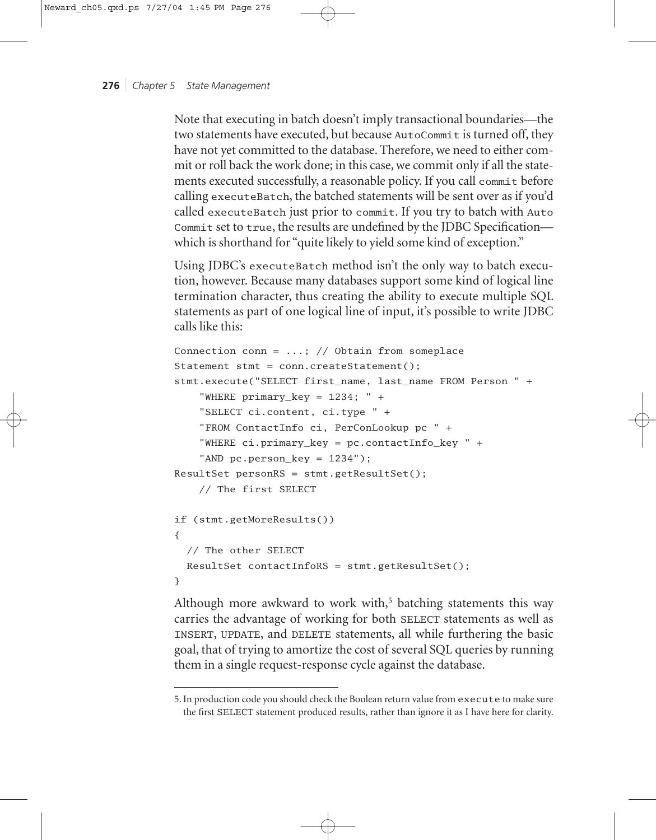Note that executing in batch doesn't imply transactional boundaries—the two statements have executed, but because AutoCommit is turned off, they have not yet committed to the database. Therefore, we need to either commit or roll back the work done; in this case, we commit only if all the statements executed successfully, a reasonable policy. If you call commit before calling executeBatch, the batched statements will be sent over as if you'd called executeBatch just prior to commit. If you try to batch with Auto Commit set to true, the results are undefined by the JDBC Specification which is shorthand for "quite likely to yield some kind of exception."

Using JDBC's executeBatch method isn't the only way to batch execution, however. Because many databases support some kind of logical line termination character, thus creating the ability to execute multiple SQL statements as part of one logical line of input, it's possible to write JDBC calls like this:

```
Connection conn = ...; // Obtain from someplace
Statement stmt = conn.createStatement();
stmt.execute("SELECT first_name, last_name FROM Person " +
    "WHERE primary_key = 1234; " +
    "SELECT ci.content, ci.type " +
    "FROM ContactInfo ci, PerConLookup pc " +
    "WHERE ci.primary_key = pc.contactInfo_key " +
    "AND pc.person_key = 1234");
ResultSet personRS = stmt.getResultSet();
    // The first SELECT
if (stmt.getMoreResults())
{
  // The other SELECT
 ResultSet contactInfoRS = stmt.getResultSet();
}
```
Although more awkward to work with, $5$  batching statements this way carries the advantage of working for both SELECT statements as well as INSERT, UPDATE, and DELETE statements, all while furthering the basic goal, that of trying to amortize the cost of several SQL queries by running them in a single request-response cycle against the database.

<sup>5.</sup> In production code you should check the Boolean return value from execute to make sure the first SELECT statement produced results, rather than ignore it as I have here for clarity.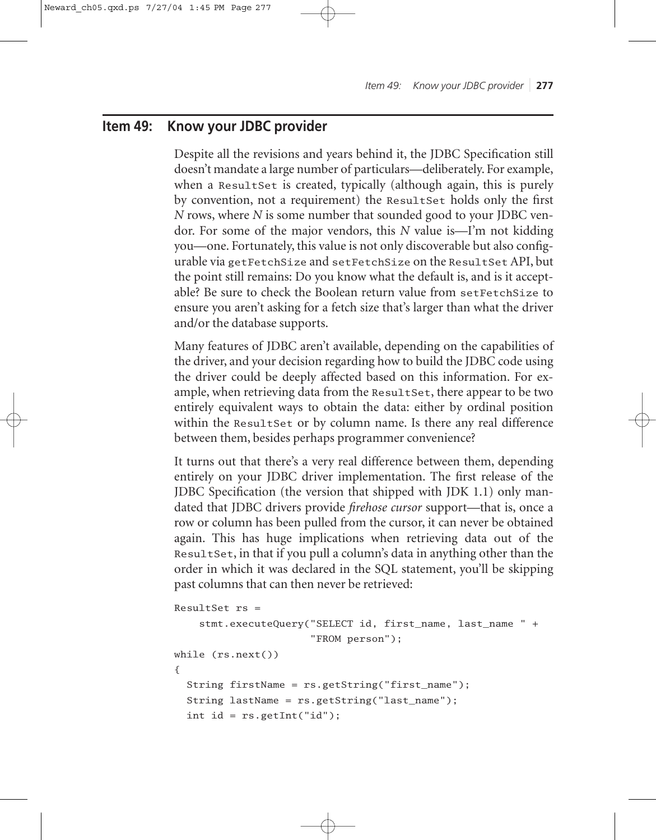# **Item 49: Know your JDBC provider**

Despite all the revisions and years behind it, the JDBC Specification still doesn't mandate a large number of particulars—deliberately. For example, when a ResultSet is created, typically (although again, this is purely by convention, not a requirement) the ResultSet holds only the first *N* rows, where *N* is some number that sounded good to your JDBC vendor. For some of the major vendors, this *N* value is—I'm not kidding you—one. Fortunately, this value is not only discoverable but also configurable via getFetchSize and setFetchSize on the ResultSet API, but the point still remains: Do you know what the default is, and is it acceptable? Be sure to check the Boolean return value from setFetchSize to ensure you aren't asking for a fetch size that's larger than what the driver and/or the database supports.

Many features of JDBC aren't available, depending on the capabilities of the driver, and your decision regarding how to build the JDBC code using the driver could be deeply affected based on this information. For example, when retrieving data from the ResultSet, there appear to be two entirely equivalent ways to obtain the data: either by ordinal position within the ResultSet or by column name. Is there any real difference between them, besides perhaps programmer convenience?

It turns out that there's a very real difference between them, depending entirely on your JDBC driver implementation. The first release of the JDBC Specification (the version that shipped with JDK 1.1) only mandated that JDBC drivers provide *firehose cursor* support—that is, once a row or column has been pulled from the cursor, it can never be obtained again. This has huge implications when retrieving data out of the ResultSet, in that if you pull a column's data in anything other than the order in which it was declared in the SQL statement, you'll be skipping past columns that can then never be retrieved:

```
ResultSet rs =stmt.executeQuery("SELECT id, first_name, last_name " +
                      "FROM person");
while (rs.next())
{
 String firstName = rs.getString("first_name");
 String lastName = rs.getString("last_name");
 int id = rs.getInt("id");
```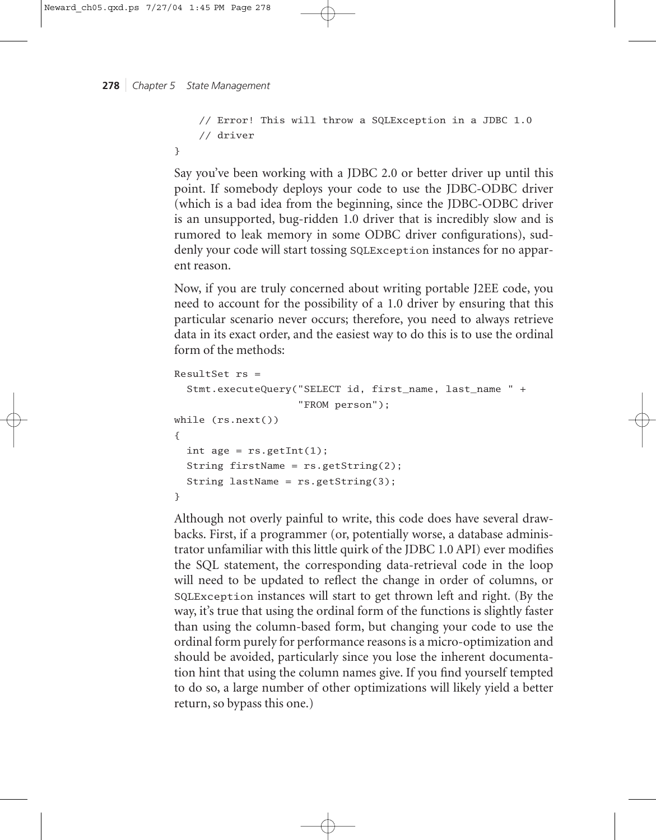}

```
// Error! This will throw a SQLException in a JDBC 1.0 
// driver
```
Say you've been working with a JDBC 2.0 or better driver up until this point. If somebody deploys your code to use the JDBC-ODBC driver (which is a bad idea from the beginning, since the JDBC-ODBC driver is an unsupported, bug-ridden 1.0 driver that is incredibly slow and is rumored to leak memory in some ODBC driver configurations), suddenly your code will start tossing SQLException instances for no apparent reason.

Now, if you are truly concerned about writing portable J2EE code, you need to account for the possibility of a 1.0 driver by ensuring that this particular scenario never occurs; therefore, you need to always retrieve data in its exact order, and the easiest way to do this is to use the ordinal form of the methods:

```
ResultSet rs = 
  Stmt.executeQuery("SELECT id, first_name, last_name " + 
                    "FROM person");
while (rs.next())
{
  int age = rs.getInt(1);String firstName = rs.getString(2);
  String lastName = rs.getString(3);
}
```
Although not overly painful to write, this code does have several drawbacks. First, if a programmer (or, potentially worse, a database administrator unfamiliar with this little quirk of the JDBC 1.0 API) ever modifies the SQL statement, the corresponding data-retrieval code in the loop will need to be updated to reflect the change in order of columns, or SQLException instances will start to get thrown left and right. (By the way, it's true that using the ordinal form of the functions is slightly faster than using the column-based form, but changing your code to use the ordinal form purely for performance reasons is a micro-optimization and should be avoided, particularly since you lose the inherent documentation hint that using the column names give. If you find yourself tempted to do so, a large number of other optimizations will likely yield a better return, so bypass this one.)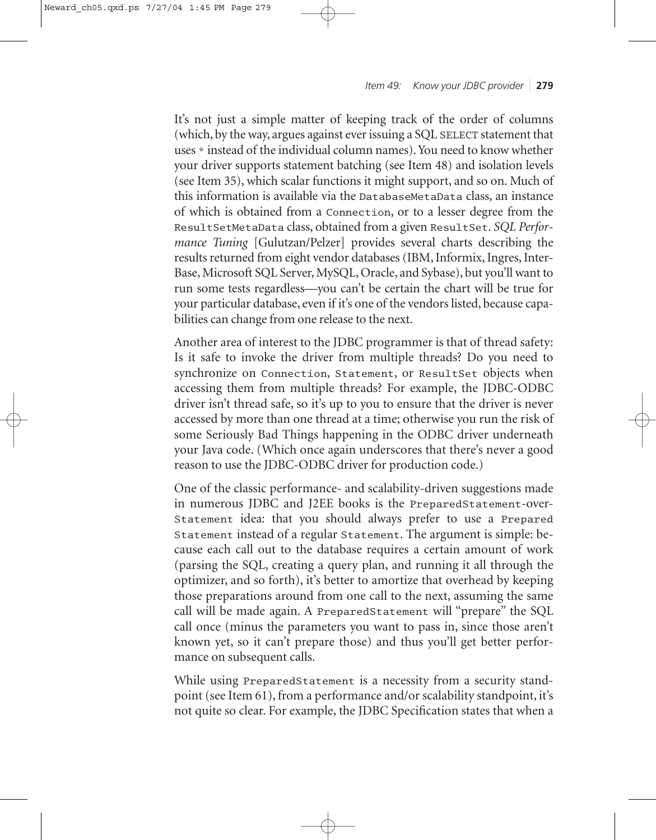*Item 49: Know your JDBC provider* ❘ **279**

It's not just a simple matter of keeping track of the order of columns (which, by the way, argues against ever issuing a SQL SELECT statement that uses \* instead of the individual column names). You need to know whether your driver supports statement batching (see Item 48) and isolation levels (see Item 35), which scalar functions it might support, and so on. Much of this information is available via the DatabaseMetaData class, an instance of which is obtained from a Connection, or to a lesser degree from the ResultSetMetaData class, obtained from a given ResultSet. *SQL Performance Tuning* [Gulutzan/Pelzer] provides several charts describing the results returned from eight vendor databases (IBM, Informix, Ingres, Inter-Base, Microsoft SQL Server, MySQL, Oracle, and Sybase), but you'll want to run some tests regardless—you can't be certain the chart will be true for your particular database, even if it's one of the vendors listed, because capabilities can change from one release to the next.

Another area of interest to the JDBC programmer is that of thread safety: Is it safe to invoke the driver from multiple threads? Do you need to synchronize on Connection, Statement, or ResultSet objects when accessing them from multiple threads? For example, the JDBC-ODBC driver isn't thread safe, so it's up to you to ensure that the driver is never accessed by more than one thread at a time; otherwise you run the risk of some Seriously Bad Things happening in the ODBC driver underneath your Java code. (Which once again underscores that there's never a good reason to use the JDBC-ODBC driver for production code.)

One of the classic performance- and scalability-driven suggestions made in numerous JDBC and J2EE books is the PreparedStatement-over-Statement idea: that you should always prefer to use a Prepared Statement instead of a regular Statement. The argument is simple: because each call out to the database requires a certain amount of work (parsing the SQL, creating a query plan, and running it all through the optimizer, and so forth), it's better to amortize that overhead by keeping those preparations around from one call to the next, assuming the same call will be made again. A PreparedStatement will "prepare" the SQL call once (minus the parameters you want to pass in, since those aren't known yet, so it can't prepare those) and thus you'll get better performance on subsequent calls.

While using PreparedStatement is a necessity from a security standpoint (see Item 61), from a performance and/or scalability standpoint, it's not quite so clear. For example, the JDBC Specification states that when a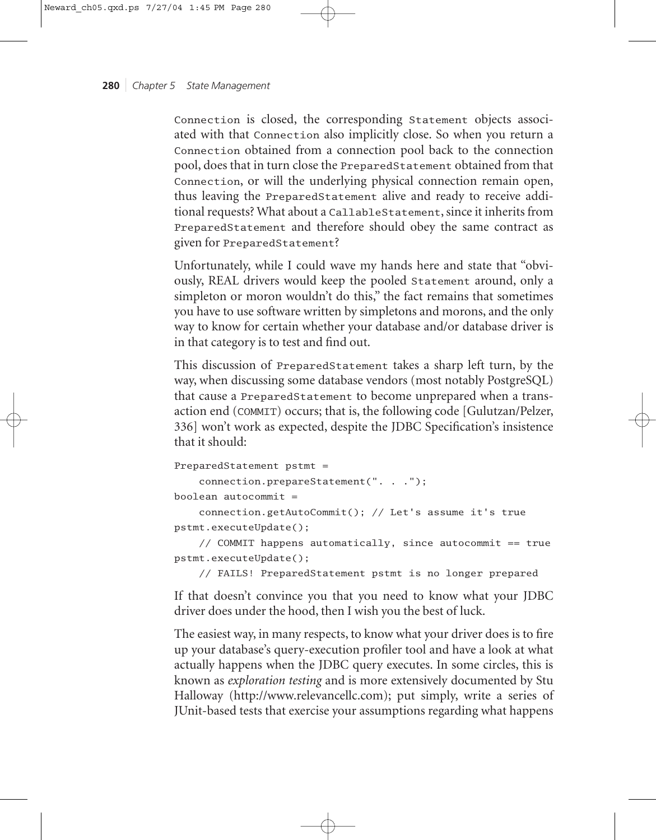Connection is closed, the corresponding Statement objects associated with that Connection also implicitly close. So when you return a Connection obtained from a connection pool back to the connection pool, does that in turn close the PreparedStatement obtained from that Connection, or will the underlying physical connection remain open, thus leaving the PreparedStatement alive and ready to receive additional requests? What about a CallableStatement, since it inherits from PreparedStatement and therefore should obey the same contract as given for PreparedStatement?

Unfortunately, while I could wave my hands here and state that "obviously, REAL drivers would keep the pooled Statement around, only a simpleton or moron wouldn't do this," the fact remains that sometimes you have to use software written by simpletons and morons, and the only way to know for certain whether your database and/or database driver is in that category is to test and find out.

This discussion of PreparedStatement takes a sharp left turn, by the way, when discussing some database vendors (most notably PostgreSQL) that cause a PreparedStatement to become unprepared when a transaction end (COMMIT) occurs; that is, the following code [Gulutzan/Pelzer, 336] won't work as expected, despite the JDBC Specification's insistence that it should:

```
PreparedStatement pstmt = 
    connection.prepareStatement(". . .");
boolean autocommit = 
    connection.getAutoCommit(); // Let's assume it's true
pstmt.executeUpdate();
```
// COMMIT happens automatically, since autocommit == true pstmt.executeUpdate();

// FAILS! PreparedStatement pstmt is no longer prepared

If that doesn't convince you that you need to know what your JDBC driver does under the hood, then I wish you the best of luck.

The easiest way, in many respects, to know what your driver does is to fire up your database's query-execution profiler tool and have a look at what actually happens when the JDBC query executes. In some circles, this is known as *exploration testing* and is more extensively documented by Stu Halloway (http://www.relevancellc.com); put simply, write a series of JUnit-based tests that exercise your assumptions regarding what happens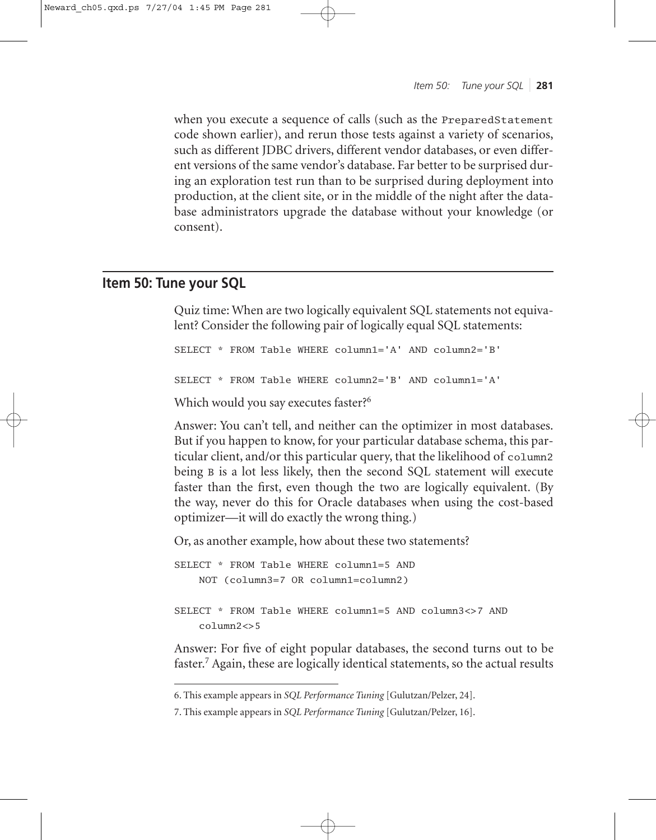when you execute a sequence of calls (such as the PreparedStatement code shown earlier), and rerun those tests against a variety of scenarios, such as different JDBC drivers, different vendor databases, or even different versions of the same vendor's database. Far better to be surprised during an exploration test run than to be surprised during deployment into production, at the client site, or in the middle of the night after the database administrators upgrade the database without your knowledge (or consent).

# **Item 50: Tune your SQL**

Quiz time: When are two logically equivalent SQL statements not equivalent? Consider the following pair of logically equal SQL statements:

```
SELECT * FROM Table WHERE column1='A' AND column2='B'
SELECT * FROM Table WHERE column2='B' AND column1='A'
Which would you say executes faster?<sup>6</sup>
```
Answer: You can't tell, and neither can the optimizer in most databases. But if you happen to know, for your particular database schema, this particular client, and/or this particular query, that the likelihood of column2 being <sup>B</sup> is a lot less likely, then the second SQL statement will execute faster than the first, even though the two are logically equivalent. (By the way, never do this for Oracle databases when using the cost-based optimizer—it will do exactly the wrong thing.)

Or, as another example, how about these two statements?

```
SELECT * FROM Table WHERE column1=5 AND
   NOT (column3=7 OR column1=column2)
SELECT * FROM Table WHERE column1=5 AND column3<>7 AND 
   column2<>5
```
Answer: For five of eight popular databases, the second turns out to be faster.7 Again, these are logically identical statements, so the actual results

<sup>6.</sup> This example appears in *SQL Performance Tuning* [Gulutzan/Pelzer, 24].

<sup>7.</sup> This example appears in *SQL Performance Tuning* [Gulutzan/Pelzer, 16].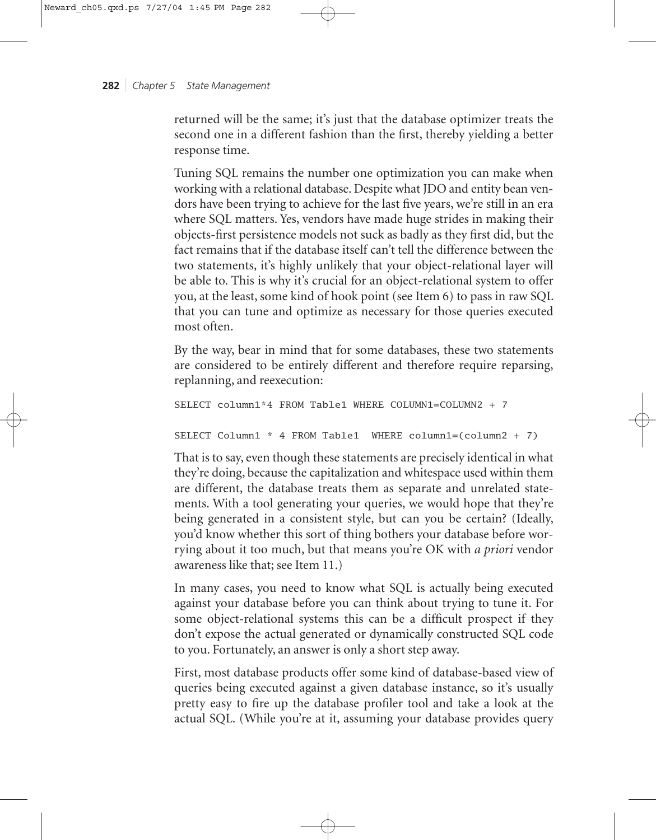returned will be the same; it's just that the database optimizer treats the second one in a different fashion than the first, thereby yielding a better response time.

Tuning SQL remains the number one optimization you can make when working with a relational database. Despite what JDO and entity bean vendors have been trying to achieve for the last five years, we're still in an era where SQL matters. Yes, vendors have made huge strides in making their objects-first persistence models not suck as badly as they first did, but the fact remains that if the database itself can't tell the difference between the two statements, it's highly unlikely that your object-relational layer will be able to. This is why it's crucial for an object-relational system to offer you, at the least, some kind of hook point (see Item 6) to pass in raw SQL that you can tune and optimize as necessary for those queries executed most often.

By the way, bear in mind that for some databases, these two statements are considered to be entirely different and therefore require reparsing, replanning, and reexecution:

```
SELECT column1*4 FROM Table1 WHERE COLUMN1=COLUMN2 + 7
SELECT Column1 * 4 FROM Table1 WHERE column1=(column2 + 7)
```
That is to say, even though these statements are precisely identical in what they're doing, because the capitalization and whitespace used within them are different, the database treats them as separate and unrelated statements. With a tool generating your queries, we would hope that they're being generated in a consistent style, but can you be certain? (Ideally, you'd know whether this sort of thing bothers your database before worrying about it too much, but that means you're OK with *a priori* vendor awareness like that; see Item 11.)

In many cases, you need to know what SQL is actually being executed against your database before you can think about trying to tune it. For some object-relational systems this can be a difficult prospect if they don't expose the actual generated or dynamically constructed SQL code to you. Fortunately, an answer is only a short step away.

First, most database products offer some kind of database-based view of queries being executed against a given database instance, so it's usually pretty easy to fire up the database profiler tool and take a look at the actual SQL. (While you're at it, assuming your database provides query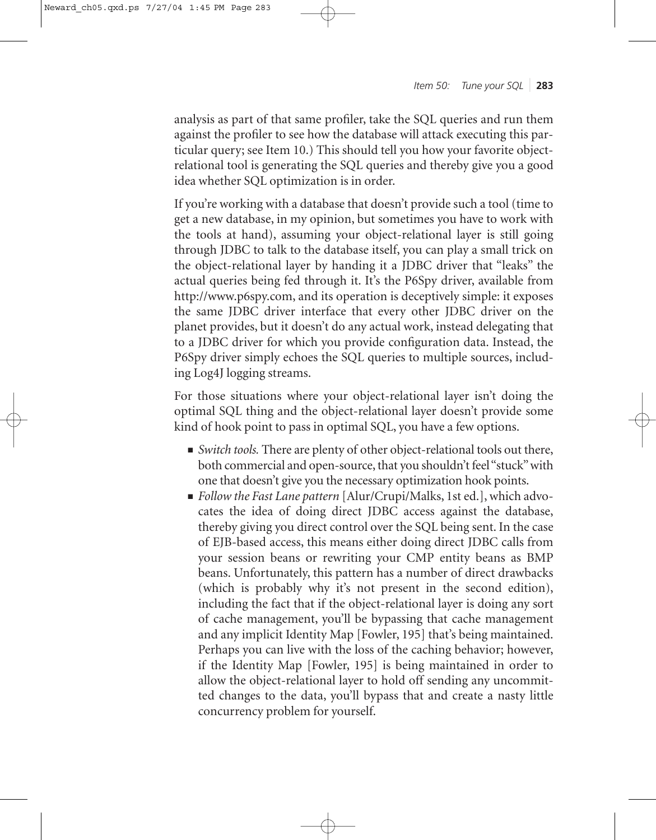analysis as part of that same profiler, take the SQL queries and run them against the profiler to see how the database will attack executing this particular query; see Item 10.) This should tell you how your favorite objectrelational tool is generating the SQL queries and thereby give you a good idea whether SQL optimization is in order.

If you're working with a database that doesn't provide such a tool (time to get a new database, in my opinion, but sometimes you have to work with the tools at hand), assuming your object-relational layer is still going through JDBC to talk to the database itself, you can play a small trick on the object-relational layer by handing it a JDBC driver that "leaks" the actual queries being fed through it. It's the P6Spy driver, available from http://www.p6spy.com, and its operation is deceptively simple: it exposes the same JDBC driver interface that every other JDBC driver on the planet provides, but it doesn't do any actual work, instead delegating that to a JDBC driver for which you provide configuration data. Instead, the P6Spy driver simply echoes the SQL queries to multiple sources, including Log4J logging streams.

For those situations where your object-relational layer isn't doing the optimal SQL thing and the object-relational layer doesn't provide some kind of hook point to pass in optimal SQL, you have a few options.

- *Switch tools*. There are plenty of other object-relational tools out there, both commercial and open-source, that you shouldn't feel "stuck" with one that doesn't give you the necessary optimization hook points.
- *Follow the Fast Lane pattern* [Alur/Crupi/Malks, 1st ed.], which advocates the idea of doing direct JDBC access against the database, thereby giving you direct control over the SQL being sent. In the case of EJB-based access, this means either doing direct JDBC calls from your session beans or rewriting your CMP entity beans as BMP beans. Unfortunately, this pattern has a number of direct drawbacks (which is probably why it's not present in the second edition), including the fact that if the object-relational layer is doing any sort of cache management, you'll be bypassing that cache management and any implicit Identity Map [Fowler, 195] that's being maintained. Perhaps you can live with the loss of the caching behavior; however, if the Identity Map [Fowler, 195] is being maintained in order to allow the object-relational layer to hold off sending any uncommitted changes to the data, you'll bypass that and create a nasty little concurrency problem for yourself.